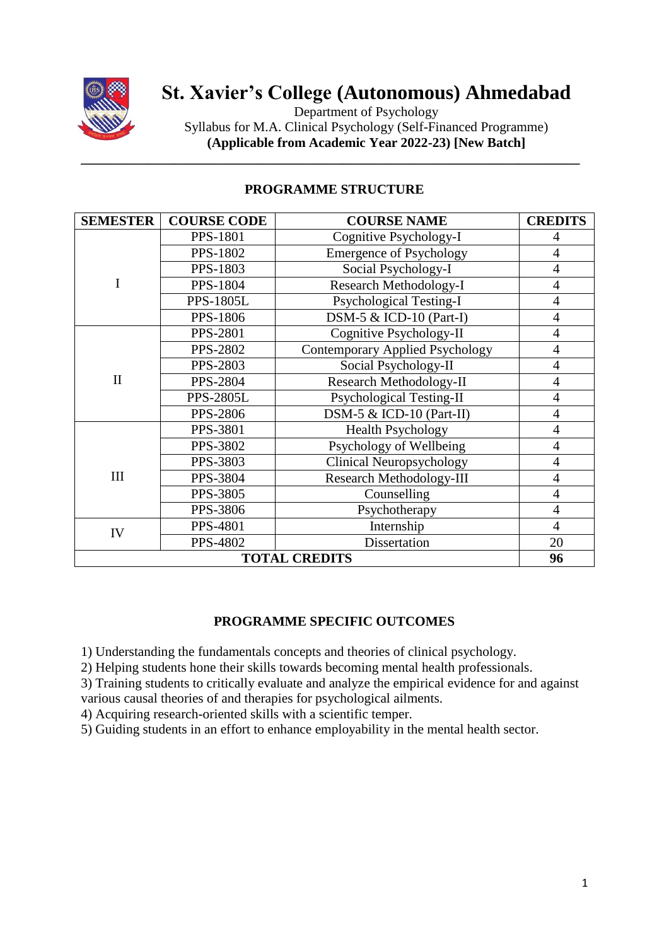

# **St. Xavier's College (Autonomous) Ahmedabad**

Department of Psychology Syllabus for M.A. Clinical Psychology (Self-Financed Programme) **(Applicable from Academic Year 2022-23) [New Batch]**

| <b>SEMESTER</b>      | <b>COURSE CODE</b> | <b>COURSE NAME</b>                     | <b>CREDITS</b> |
|----------------------|--------------------|----------------------------------------|----------------|
| I                    | <b>PPS-1801</b>    | Cognitive Psychology-I                 | 4              |
|                      | <b>PPS-1802</b>    | <b>Emergence of Psychology</b>         | $\overline{4}$ |
|                      | PPS-1803           | Social Psychology-I                    | $\overline{4}$ |
|                      | <b>PPS-1804</b>    | Research Methodology-I                 | $\overline{4}$ |
|                      | <b>PPS-1805L</b>   | <b>Psychological Testing-I</b>         | $\overline{4}$ |
|                      | <b>PPS-1806</b>    | $DSM-5 & ICD-10$ (Part-I)              | $\overline{4}$ |
| $\mathbf{I}$         | <b>PPS-2801</b>    | Cognitive Psychology-II                | $\overline{4}$ |
|                      | <b>PPS-2802</b>    | <b>Contemporary Applied Psychology</b> | $\overline{4}$ |
|                      | <b>PPS-2803</b>    | Social Psychology-II                   | $\overline{4}$ |
|                      | <b>PPS-2804</b>    | Research Methodology-II                | 4              |
|                      | <b>PPS-2805L</b>   | Psychological Testing-II               | $\overline{4}$ |
|                      | <b>PPS-2806</b>    | DSM-5 $&$ ICD-10 (Part-II)             | $\overline{4}$ |
| III                  | PPS-3801           | <b>Health Psychology</b>               | 4              |
|                      | PPS-3802           | Psychology of Wellbeing                | $\overline{4}$ |
|                      | PPS-3803           | Clinical Neuropsychology               | $\overline{4}$ |
|                      | PPS-3804           | <b>Research Methodology-III</b>        | $\overline{4}$ |
|                      | <b>PPS-3805</b>    | Counselling                            | $\overline{4}$ |
|                      | PPS-3806           | Psychotherapy                          | $\overline{4}$ |
| IV                   | PPS-4801           | Internship                             | $\overline{4}$ |
|                      | PPS-4802           | Dissertation                           | 20             |
| <b>TOTAL CREDITS</b> |                    |                                        | 96             |

# **PROGRAMME STRUCTURE**

**\_\_\_\_\_\_\_\_\_\_\_\_\_\_\_\_\_\_\_\_\_\_\_\_\_\_\_\_\_\_\_\_\_\_\_\_\_\_\_\_\_\_\_\_\_\_\_\_\_\_\_\_\_\_\_\_\_\_\_\_\_\_\_\_\_\_\_\_\_\_\_\_\_\_**

# **PROGRAMME SPECIFIC OUTCOMES**

1) Understanding the fundamentals concepts and theories of clinical psychology.

2) Helping students hone their skills towards becoming mental health professionals.

3) Training students to critically evaluate and analyze the empirical evidence for and against various causal theories of and therapies for psychological ailments.

4) Acquiring research-oriented skills with a scientific temper.

5) Guiding students in an effort to enhance employability in the mental health sector.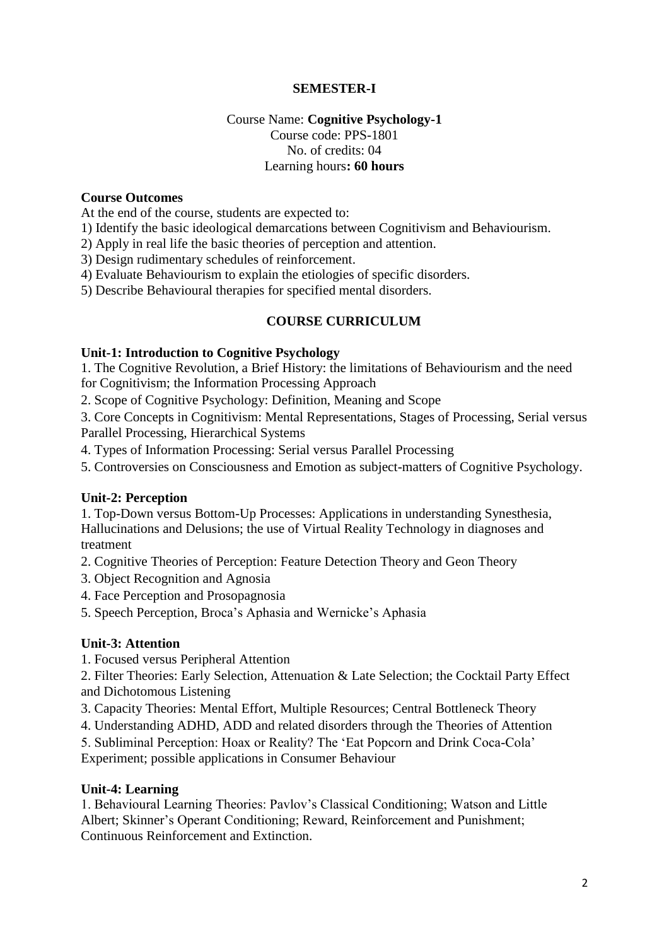# **SEMESTER-I**

# Course Name: **Cognitive Psychology-1** Course code: PPS-1801 No. of credits: 04 Learning hours**: 60 hours**

#### **Course Outcomes**

At the end of the course, students are expected to:

1) Identify the basic ideological demarcations between Cognitivism and Behaviourism.

2) Apply in real life the basic theories of perception and attention.

3) Design rudimentary schedules of reinforcement.

4) Evaluate Behaviourism to explain the etiologies of specific disorders.

5) Describe Behavioural therapies for specified mental disorders.

### **COURSE CURRICULUM**

### **Unit-1: Introduction to Cognitive Psychology**

1. The Cognitive Revolution, a Brief History: the limitations of Behaviourism and the need for Cognitivism; the Information Processing Approach

2. Scope of Cognitive Psychology: Definition, Meaning and Scope

3. Core Concepts in Cognitivism: Mental Representations, Stages of Processing, Serial versus Parallel Processing, Hierarchical Systems

4. Types of Information Processing: Serial versus Parallel Processing

5. Controversies on Consciousness and Emotion as subject-matters of Cognitive Psychology.

### **Unit-2: Perception**

1. Top-Down versus Bottom-Up Processes: Applications in understanding Synesthesia, Hallucinations and Delusions; the use of Virtual Reality Technology in diagnoses and treatment

2. Cognitive Theories of Perception: Feature Detection Theory and Geon Theory

- 3. Object Recognition and Agnosia
- 4. Face Perception and Prosopagnosia

5. Speech Perception, Broca's Aphasia and Wernicke's Aphasia

### **Unit-3: Attention**

1. Focused versus Peripheral Attention

2. Filter Theories: Early Selection, Attenuation & Late Selection; the Cocktail Party Effect and Dichotomous Listening

3. Capacity Theories: Mental Effort, Multiple Resources; Central Bottleneck Theory

4. Understanding ADHD, ADD and related disorders through the Theories of Attention

5. Subliminal Perception: Hoax or Reality? The 'Eat Popcorn and Drink Coca-Cola'

Experiment; possible applications in Consumer Behaviour

### **Unit-4: Learning**

1. Behavioural Learning Theories: Pavlov's Classical Conditioning; Watson and Little Albert; Skinner's Operant Conditioning; Reward, Reinforcement and Punishment; Continuous Reinforcement and Extinction.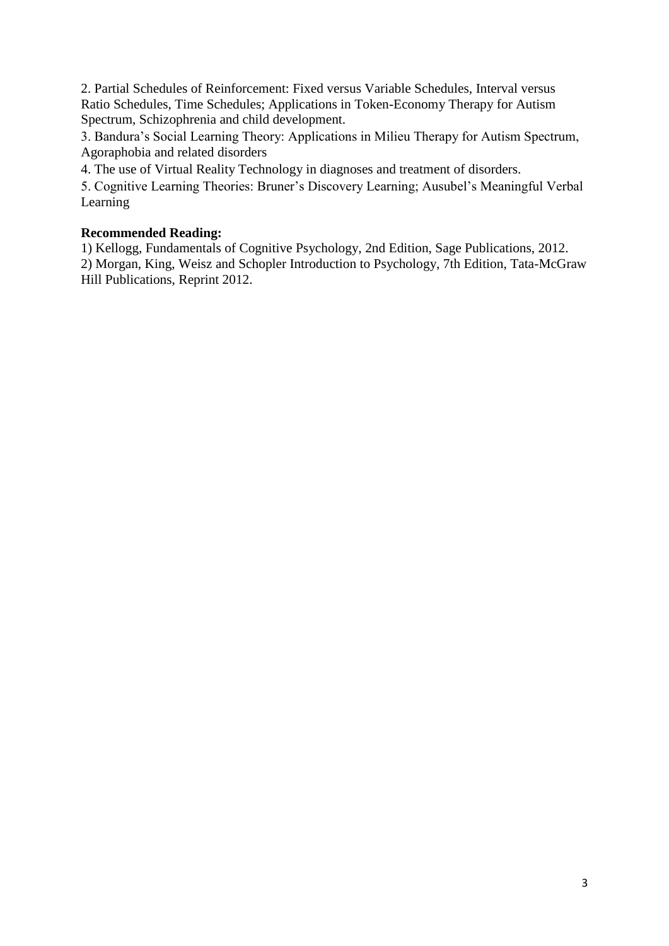2. Partial Schedules of Reinforcement: Fixed versus Variable Schedules, Interval versus Ratio Schedules, Time Schedules; Applications in Token-Economy Therapy for Autism Spectrum, Schizophrenia and child development.

3. Bandura's Social Learning Theory: Applications in Milieu Therapy for Autism Spectrum, Agoraphobia and related disorders

4. The use of Virtual Reality Technology in diagnoses and treatment of disorders.

5. Cognitive Learning Theories: Bruner's Discovery Learning; Ausubel's Meaningful Verbal Learning

# **Recommended Reading:**

1) Kellogg, Fundamentals of Cognitive Psychology, 2nd Edition, Sage Publications, 2012. 2) Morgan, King, Weisz and Schopler Introduction to Psychology, 7th Edition, Tata-McGraw Hill Publications, Reprint 2012.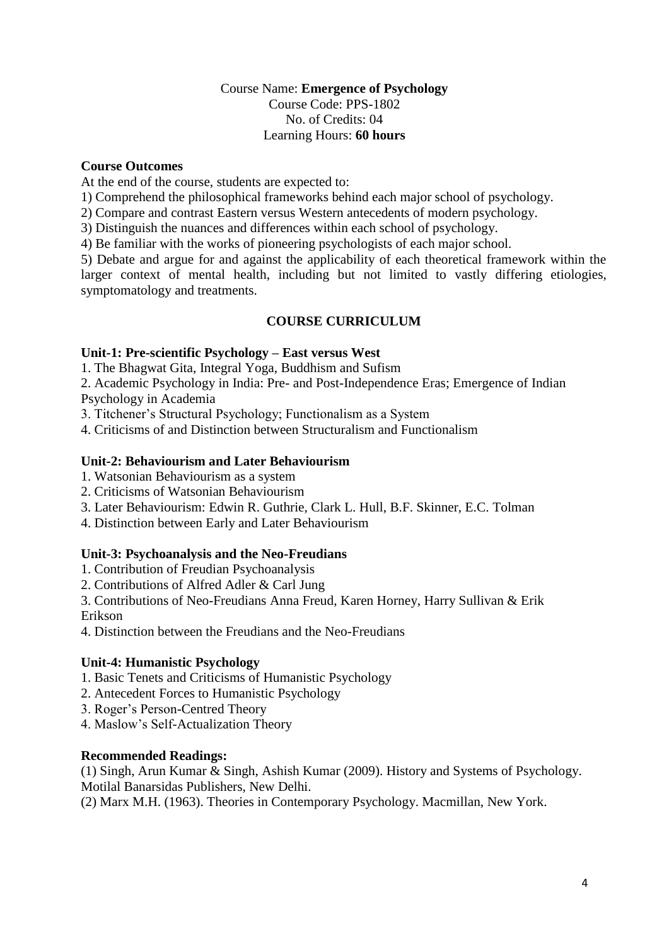# Course Name: **Emergence of Psychology** Course Code: PPS-1802 No. of Credits: 04 Learning Hours: **60 hours**

### **Course Outcomes**

At the end of the course, students are expected to:

1) Comprehend the philosophical frameworks behind each major school of psychology.

2) Compare and contrast Eastern versus Western antecedents of modern psychology.

3) Distinguish the nuances and differences within each school of psychology.

4) Be familiar with the works of pioneering psychologists of each major school.

5) Debate and argue for and against the applicability of each theoretical framework within the larger context of mental health, including but not limited to vastly differing etiologies, symptomatology and treatments.

# **COURSE CURRICULUM**

# **Unit-1: Pre-scientific Psychology – East versus West**

1. The Bhagwat Gita, Integral Yoga, Buddhism and Sufism

2. Academic Psychology in India: Pre- and Post-Independence Eras; Emergence of Indian Psychology in Academia

3. Titchener's Structural Psychology; Functionalism as a System

4. Criticisms of and Distinction between Structuralism and Functionalism

# **Unit-2: Behaviourism and Later Behaviourism**

- 1. Watsonian Behaviourism as a system
- 2. Criticisms of Watsonian Behaviourism
- 3. Later Behaviourism: Edwin R. Guthrie, Clark L. Hull, B.F. Skinner, E.C. Tolman

4. Distinction between Early and Later Behaviourism

# **Unit-3: Psychoanalysis and the Neo-Freudians**

1. Contribution of Freudian Psychoanalysis

2. Contributions of Alfred Adler & Carl Jung

3. Contributions of Neo-Freudians Anna Freud, Karen Horney, Harry Sullivan & Erik Erikson

4. Distinction between the Freudians and the Neo-Freudians

# **Unit-4: Humanistic Psychology**

- 1. Basic Tenets and Criticisms of Humanistic Psychology
- 2. Antecedent Forces to Humanistic Psychology
- 3. Roger's Person-Centred Theory
- 4. Maslow's Self-Actualization Theory

# **Recommended Readings:**

(1) Singh, Arun Kumar & Singh, Ashish Kumar (2009). History and Systems of Psychology. Motilal Banarsidas Publishers, New Delhi.

(2) Marx M.H. (1963). Theories in Contemporary Psychology. Macmillan, New York.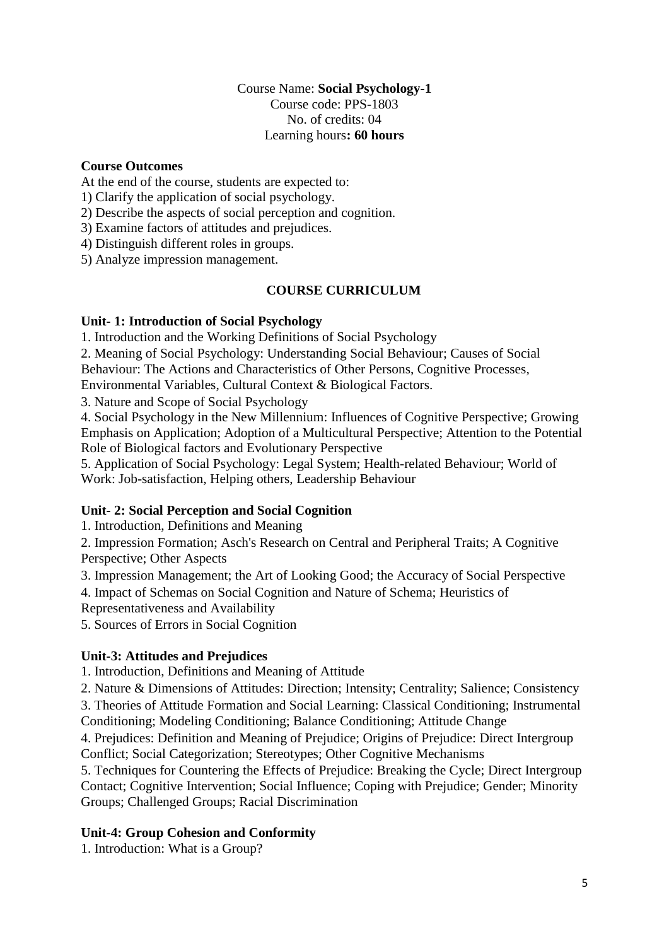# Course Name: **Social Psychology-1** Course code: PPS-1803 No. of credits: 04 Learning hours**: 60 hours**

### **Course Outcomes**

At the end of the course, students are expected to:

1) Clarify the application of social psychology.

2) Describe the aspects of social perception and cognition.

3) Examine factors of attitudes and prejudices.

4) Distinguish different roles in groups.

5) Analyze impression management.

# **COURSE CURRICULUM**

# **Unit- 1: Introduction of Social Psychology**

1. Introduction and the Working Definitions of Social Psychology

2. Meaning of Social Psychology: Understanding Social Behaviour; Causes of Social

Behaviour: The Actions and Characteristics of Other Persons, Cognitive Processes,

Environmental Variables, Cultural Context & Biological Factors.

3. Nature and Scope of Social Psychology

4. Social Psychology in the New Millennium: Influences of Cognitive Perspective; Growing Emphasis on Application; Adoption of a Multicultural Perspective; Attention to the Potential Role of Biological factors and Evolutionary Perspective

5. Application of Social Psychology: Legal System; Health-related Behaviour; World of Work: Job-satisfaction, Helping others, Leadership Behaviour

# **Unit- 2: Social Perception and Social Cognition**

1. Introduction, Definitions and Meaning

2. Impression Formation; Asch's Research on Central and Peripheral Traits; A Cognitive Perspective; Other Aspects

3. Impression Management; the Art of Looking Good; the Accuracy of Social Perspective

4. Impact of Schemas on Social Cognition and Nature of Schema; Heuristics of

Representativeness and Availability

5. Sources of Errors in Social Cognition

# **Unit-3: Attitudes and Prejudices**

1. Introduction, Definitions and Meaning of Attitude

2. Nature & Dimensions of Attitudes: Direction; Intensity; Centrality; Salience; Consistency

3. Theories of Attitude Formation and Social Learning: Classical Conditioning; Instrumental Conditioning; Modeling Conditioning; Balance Conditioning; Attitude Change

4. Prejudices: Definition and Meaning of Prejudice; Origins of Prejudice: Direct Intergroup Conflict; Social Categorization; Stereotypes; Other Cognitive Mechanisms

5. Techniques for Countering the Effects of Prejudice: Breaking the Cycle; Direct Intergroup Contact; Cognitive Intervention; Social Influence; Coping with Prejudice; Gender; Minority Groups; Challenged Groups; Racial Discrimination

# **Unit-4: Group Cohesion and Conformity**

1. Introduction: What is a Group?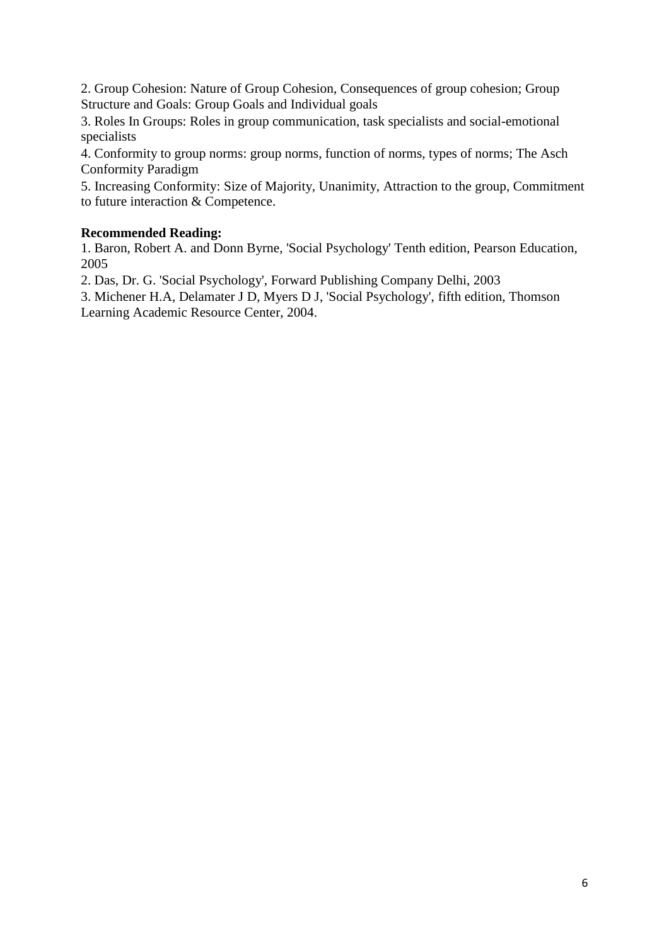2. Group Cohesion: Nature of Group Cohesion, Consequences of group cohesion; Group Structure and Goals: Group Goals and Individual goals

3. Roles In Groups: Roles in group communication, task specialists and social-emotional specialists

4. Conformity to group norms: group norms, function of norms, types of norms; The Asch Conformity Paradigm

5. Increasing Conformity: Size of Majority, Unanimity, Attraction to the group, Commitment to future interaction & Competence.

# **Recommended Reading:**

1. Baron, Robert A. and Donn Byrne, 'Social Psychology' Tenth edition, Pearson Education, 2005

2. Das, Dr. G. 'Social Psychology', Forward Publishing Company Delhi, 2003

3. Michener H.A, Delamater J D, Myers D J, 'Social Psychology', fifth edition, Thomson Learning Academic Resource Center, 2004.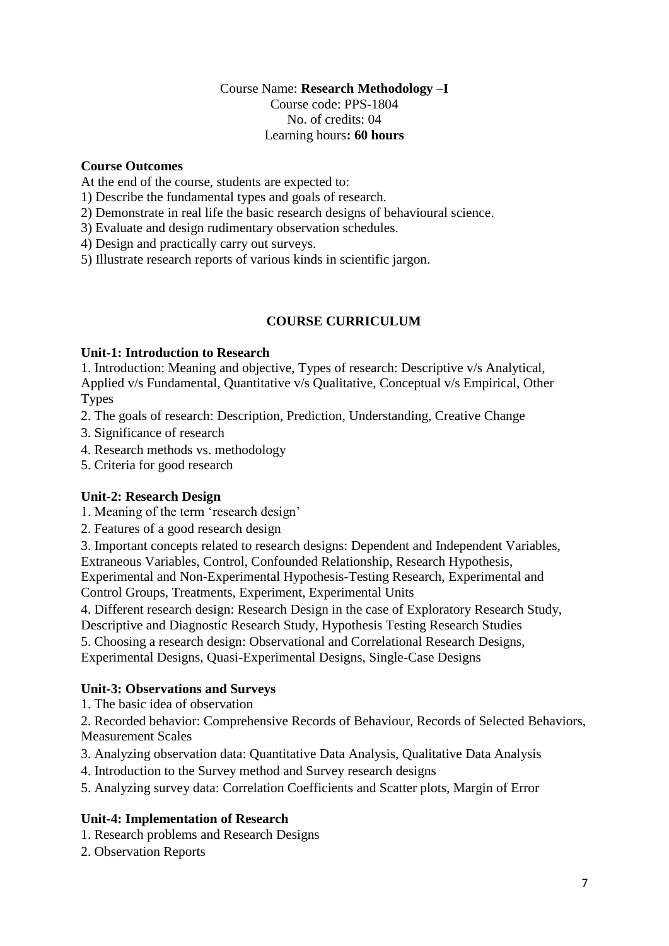### Course Name: **Research Methodology –I** Course code: PPS-1804 No. of credits: 04 Learning hours**: 60 hours**

# **Course Outcomes**

At the end of the course, students are expected to:

1) Describe the fundamental types and goals of research.

- 2) Demonstrate in real life the basic research designs of behavioural science.
- 3) Evaluate and design rudimentary observation schedules.
- 4) Design and practically carry out surveys.
- 5) Illustrate research reports of various kinds in scientific jargon.

# **COURSE CURRICULUM**

### **Unit-1: Introduction to Research**

1. Introduction: Meaning and objective, Types of research: Descriptive v/s Analytical, Applied v/s Fundamental, Quantitative v/s Qualitative, Conceptual v/s Empirical, Other Types

- 2. The goals of research: Description, Prediction, Understanding, Creative Change
- 3. Significance of research
- 4. Research methods vs. methodology
- 5. Criteria for good research

# **Unit-2: Research Design**

- 1. Meaning of the term 'research design'
- 2. Features of a good research design

3. Important concepts related to research designs: Dependent and Independent Variables, Extraneous Variables, Control, Confounded Relationship, Research Hypothesis, Experimental and Non-Experimental Hypothesis-Testing Research, Experimental and

Control Groups, Treatments, Experiment, Experimental Units

4. Different research design: Research Design in the case of Exploratory Research Study,

Descriptive and Diagnostic Research Study, Hypothesis Testing Research Studies

5. Choosing a research design: Observational and Correlational Research Designs,

Experimental Designs, Quasi-Experimental Designs, Single-Case Designs

# **Unit-3: Observations and Surveys**

1. The basic idea of observation

2. Recorded behavior: Comprehensive Records of Behaviour, Records of Selected Behaviors, Measurement Scales

3. Analyzing observation data: Quantitative Data Analysis, Qualitative Data Analysis

4. Introduction to the Survey method and Survey research designs

5. Analyzing survey data: Correlation Coefficients and Scatter plots, Margin of Error

# **Unit-4: Implementation of Research**

- 1. Research problems and Research Designs
- 2. Observation Reports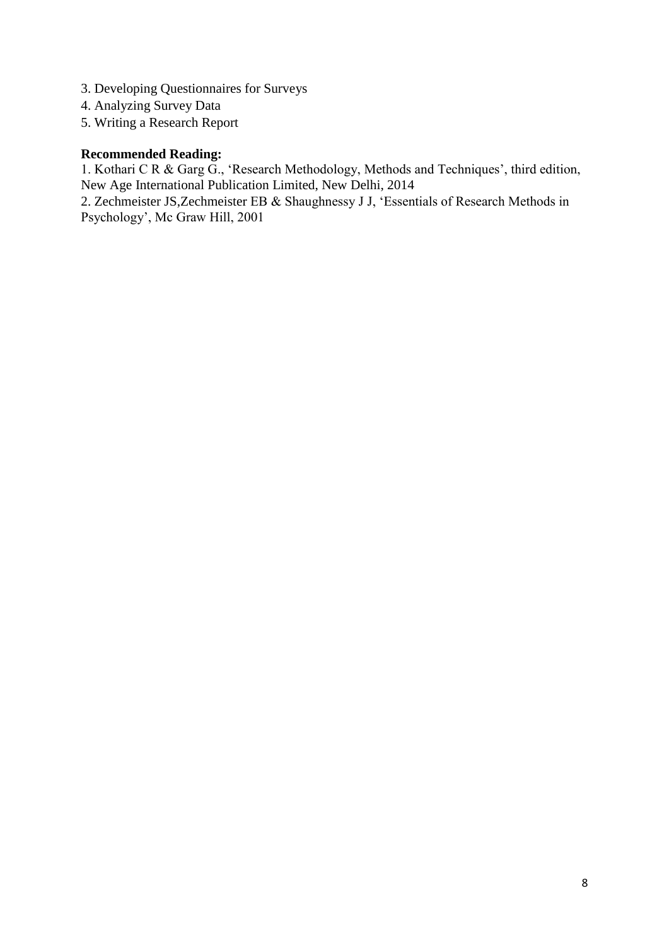- 3. Developing Questionnaires for Surveys
- 4. Analyzing Survey Data
- 5. Writing a Research Report

### **Recommended Reading:**

1. Kothari C R & Garg G., 'Research Methodology, Methods and Techniques', third edition, New Age International Publication Limited, New Delhi, 2014

2. Zechmeister JS,Zechmeister EB & Shaughnessy J J, 'Essentials of Research Methods in Psychology', Mc Graw Hill, 2001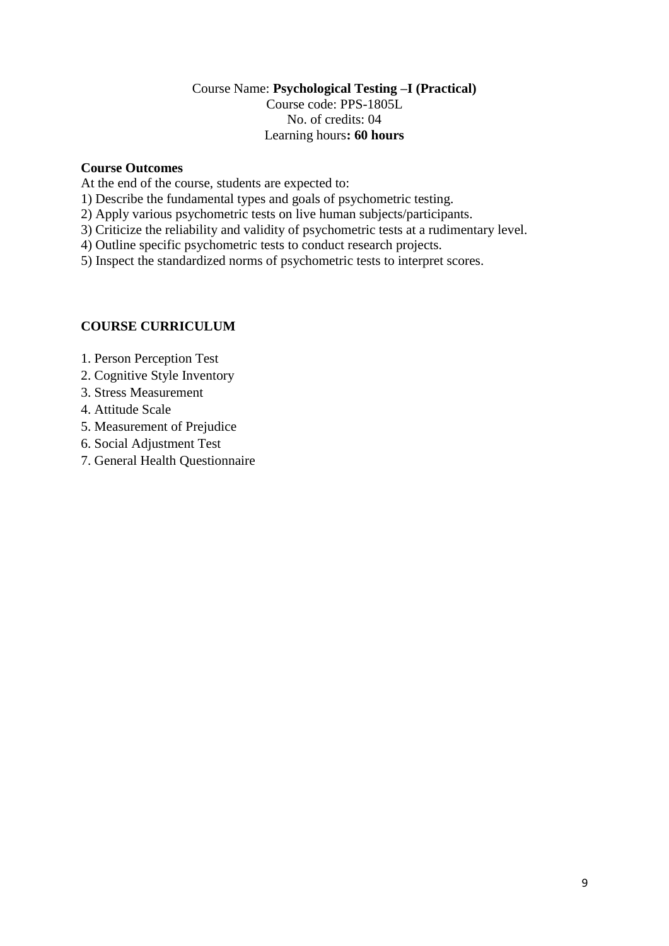# Course Name: **Psychological Testing –I (Practical)** Course code: PPS-1805L No. of credits: 04 Learning hours**: 60 hours**

# **Course Outcomes**

At the end of the course, students are expected to:

- 1) Describe the fundamental types and goals of psychometric testing.
- 2) Apply various psychometric tests on live human subjects/participants.
- 3) Criticize the reliability and validity of psychometric tests at a rudimentary level.
- 4) Outline specific psychometric tests to conduct research projects.

5) Inspect the standardized norms of psychometric tests to interpret scores.

# **COURSE CURRICULUM**

- 1. Person Perception Test
- 2. Cognitive Style Inventory
- 3. Stress Measurement
- 4. Attitude Scale
- 5. Measurement of Prejudice
- 6. Social Adjustment Test
- 7. General Health Questionnaire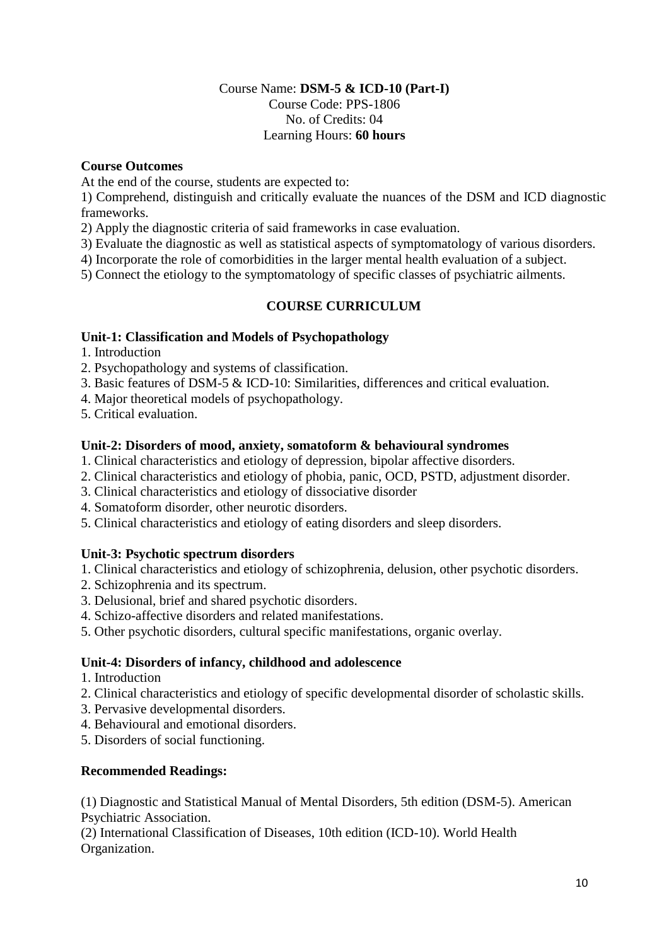# Course Name: **DSM-5 & ICD-10 (Part-I)** Course Code: PPS-1806 No. of Credits: 04 Learning Hours: **60 hours**

# **Course Outcomes**

At the end of the course, students are expected to:

1) Comprehend, distinguish and critically evaluate the nuances of the DSM and ICD diagnostic frameworks.

2) Apply the diagnostic criteria of said frameworks in case evaluation.

3) Evaluate the diagnostic as well as statistical aspects of symptomatology of various disorders.

4) Incorporate the role of comorbidities in the larger mental health evaluation of a subject.

5) Connect the etiology to the symptomatology of specific classes of psychiatric ailments.

# **COURSE CURRICULUM**

### **Unit-1: Classification and Models of Psychopathology**

1. Introduction

2. Psychopathology and systems of classification.

- 3. Basic features of DSM-5 & ICD-10: Similarities, differences and critical evaluation.
- 4. Major theoretical models of psychopathology.
- 5. Critical evaluation.

### **Unit-2: Disorders of mood, anxiety, somatoform & behavioural syndromes**

- 1. Clinical characteristics and etiology of depression, bipolar affective disorders.
- 2. Clinical characteristics and etiology of phobia, panic, OCD, PSTD, adjustment disorder.
- 3. Clinical characteristics and etiology of dissociative disorder
- 4. Somatoform disorder, other neurotic disorders.
- 5. Clinical characteristics and etiology of eating disorders and sleep disorders.

# **Unit-3: Psychotic spectrum disorders**

- 1. Clinical characteristics and etiology of schizophrenia, delusion, other psychotic disorders.
- 2. Schizophrenia and its spectrum.
- 3. Delusional, brief and shared psychotic disorders.
- 4. Schizo-affective disorders and related manifestations.
- 5. Other psychotic disorders, cultural specific manifestations, organic overlay.

### **Unit-4: Disorders of infancy, childhood and adolescence**

- 1. Introduction
- 2. Clinical characteristics and etiology of specific developmental disorder of scholastic skills.
- 3. Pervasive developmental disorders.
- 4. Behavioural and emotional disorders.
- 5. Disorders of social functioning.

# **Recommended Readings:**

(1) Diagnostic and Statistical Manual of Mental Disorders, 5th edition (DSM-5). American Psychiatric Association.

(2) International Classification of Diseases, 10th edition (ICD-10). World Health Organization.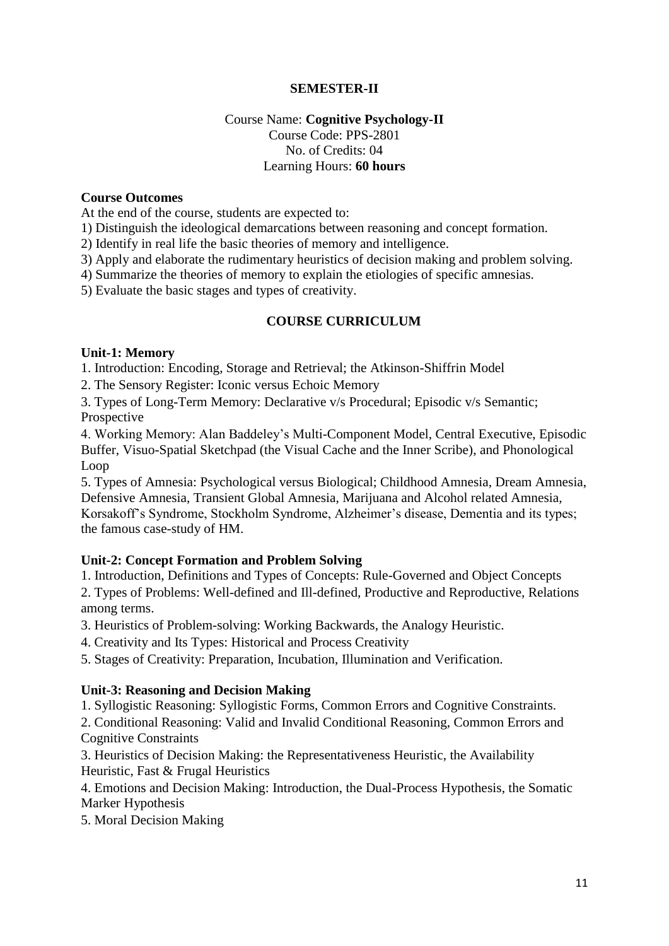# **SEMESTER-II**

# Course Name: **Cognitive Psychology-II** Course Code: PPS-2801 No. of Credits: 04 Learning Hours: **60 hours**

### **Course Outcomes**

At the end of the course, students are expected to:

1) Distinguish the ideological demarcations between reasoning and concept formation.

2) Identify in real life the basic theories of memory and intelligence.

3) Apply and elaborate the rudimentary heuristics of decision making and problem solving.

4) Summarize the theories of memory to explain the etiologies of specific amnesias.

5) Evaluate the basic stages and types of creativity.

### **COURSE CURRICULUM**

### **Unit-1: Memory**

1. Introduction: Encoding, Storage and Retrieval; the Atkinson-Shiffrin Model

2. The Sensory Register: Iconic versus Echoic Memory

3. Types of Long-Term Memory: Declarative v/s Procedural; Episodic v/s Semantic; Prospective

4. Working Memory: Alan Baddeley's Multi-Component Model, Central Executive, Episodic Buffer, Visuo-Spatial Sketchpad (the Visual Cache and the Inner Scribe), and Phonological Loop

5. Types of Amnesia: Psychological versus Biological; Childhood Amnesia, Dream Amnesia, Defensive Amnesia, Transient Global Amnesia, Marijuana and Alcohol related Amnesia, Korsakoff's Syndrome, Stockholm Syndrome, Alzheimer's disease, Dementia and its types; the famous case-study of HM.

### **Unit-2: Concept Formation and Problem Solving**

1. Introduction, Definitions and Types of Concepts: Rule-Governed and Object Concepts 2. Types of Problems: Well-defined and Ill-defined, Productive and Reproductive, Relations among terms.

3. Heuristics of Problem-solving: Working Backwards, the Analogy Heuristic.

4. Creativity and Its Types: Historical and Process Creativity

5. Stages of Creativity: Preparation, Incubation, Illumination and Verification.

#### **Unit-3: Reasoning and Decision Making**

1. Syllogistic Reasoning: Syllogistic Forms, Common Errors and Cognitive Constraints.

2. Conditional Reasoning: Valid and Invalid Conditional Reasoning, Common Errors and Cognitive Constraints

3. Heuristics of Decision Making: the Representativeness Heuristic, the Availability Heuristic, Fast & Frugal Heuristics

4. Emotions and Decision Making: Introduction, the Dual-Process Hypothesis, the Somatic Marker Hypothesis

5. Moral Decision Making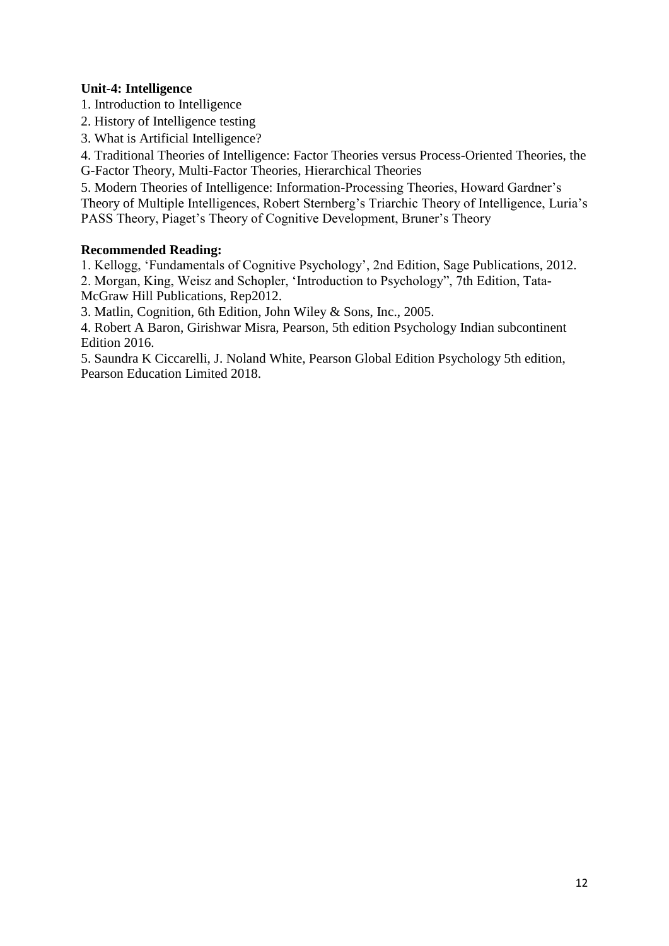# **Unit-4: Intelligence**

1. Introduction to Intelligence

- 2. History of Intelligence testing
- 3. What is Artificial Intelligence?

4. Traditional Theories of Intelligence: Factor Theories versus Process-Oriented Theories, the G-Factor Theory, Multi-Factor Theories, Hierarchical Theories

5. Modern Theories of Intelligence: Information-Processing Theories, Howard Gardner's Theory of Multiple Intelligences, Robert Sternberg's Triarchic Theory of Intelligence, Luria's PASS Theory, Piaget's Theory of Cognitive Development, Bruner's Theory

# **Recommended Reading:**

1. Kellogg, 'Fundamentals of Cognitive Psychology', 2nd Edition, Sage Publications, 2012.

2. Morgan, King, Weisz and Schopler, 'Introduction to Psychology", 7th Edition, Tata-McGraw Hill Publications, Rep2012.

3. Matlin, Cognition, 6th Edition, John Wiley & Sons, Inc., 2005.

4. Robert A Baron, Girishwar Misra, Pearson, 5th edition Psychology Indian subcontinent Edition 2016.

5. Saundra K Ciccarelli, J. Noland White, Pearson Global Edition Psychology 5th edition, Pearson Education Limited 2018.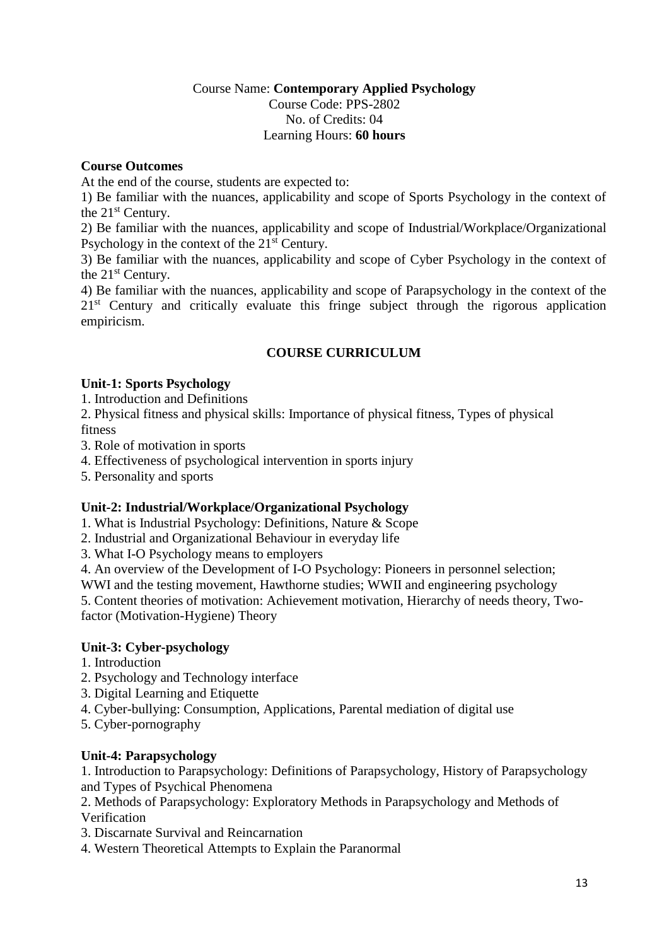### Course Name: **Contemporary Applied Psychology** Course Code: PPS-2802 No. of Credits: 04 Learning Hours: **60 hours**

# **Course Outcomes**

At the end of the course, students are expected to:

1) Be familiar with the nuances, applicability and scope of Sports Psychology in the context of the 21st Century.

2) Be familiar with the nuances, applicability and scope of Industrial/Workplace/Organizational Psychology in the context of the 21<sup>st</sup> Century.

3) Be familiar with the nuances, applicability and scope of Cyber Psychology in the context of the 21<sup>st</sup> Century.

4) Be familiar with the nuances, applicability and scope of Parapsychology in the context of the 2<sup>1st</sup> Century and critically evaluate this fringe subject through the rigorous application empiricism.

# **COURSE CURRICULUM**

# **Unit-1: Sports Psychology**

1. Introduction and Definitions

2. Physical fitness and physical skills: Importance of physical fitness, Types of physical fitness

3. Role of motivation in sports

4. Effectiveness of psychological intervention in sports injury

5. Personality and sports

# **Unit-2: Industrial/Workplace/Organizational Psychology**

1. What is Industrial Psychology: Definitions, Nature & Scope

2. Industrial and Organizational Behaviour in everyday life

3. What I-O Psychology means to employers

4. An overview of the Development of I-O Psychology: Pioneers in personnel selection;

WWI and the testing movement, Hawthorne studies; WWII and engineering psychology

5. Content theories of motivation: Achievement motivation, Hierarchy of needs theory, Twofactor (Motivation-Hygiene) Theory

# **Unit-3: Cyber-psychology**

- 1. Introduction
- 2. Psychology and Technology interface
- 3. Digital Learning and Etiquette
- 4. Cyber-bullying: Consumption, Applications, Parental mediation of digital use
- 5. Cyber-pornography

# **Unit-4: Parapsychology**

1. Introduction to Parapsychology: Definitions of Parapsychology, History of Parapsychology and Types of Psychical Phenomena

2. Methods of Parapsychology: Exploratory Methods in Parapsychology and Methods of Verification

- 3. Discarnate Survival and Reincarnation
- 4. Western Theoretical Attempts to Explain the Paranormal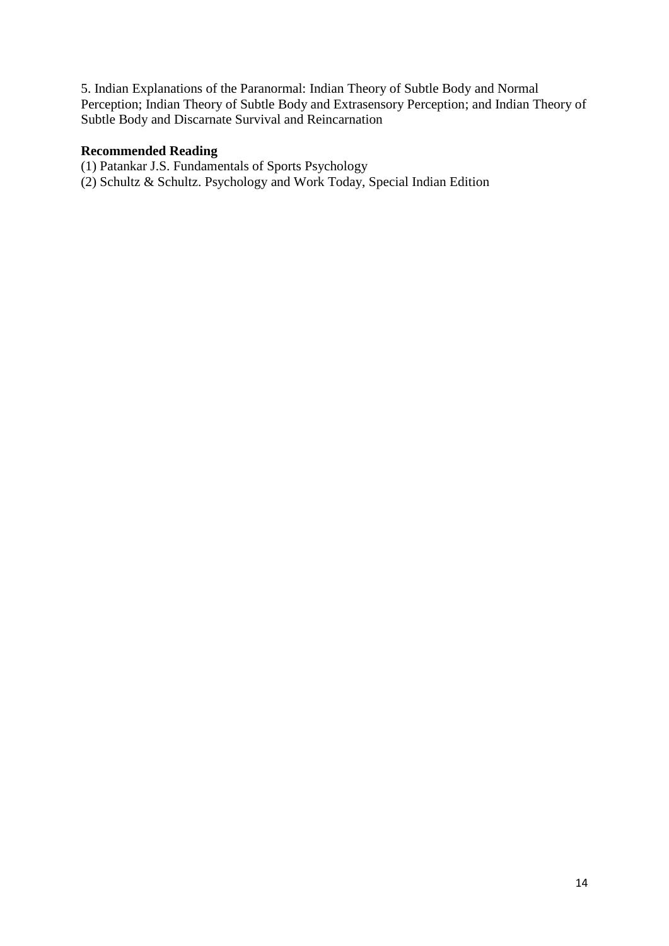5. Indian Explanations of the Paranormal: Indian Theory of Subtle Body and Normal Perception; Indian Theory of Subtle Body and Extrasensory Perception; and Indian Theory of Subtle Body and Discarnate Survival and Reincarnation

### **Recommended Reading**

- (1) Patankar J.S. Fundamentals of Sports Psychology
- (2) Schultz & Schultz. Psychology and Work Today, Special Indian Edition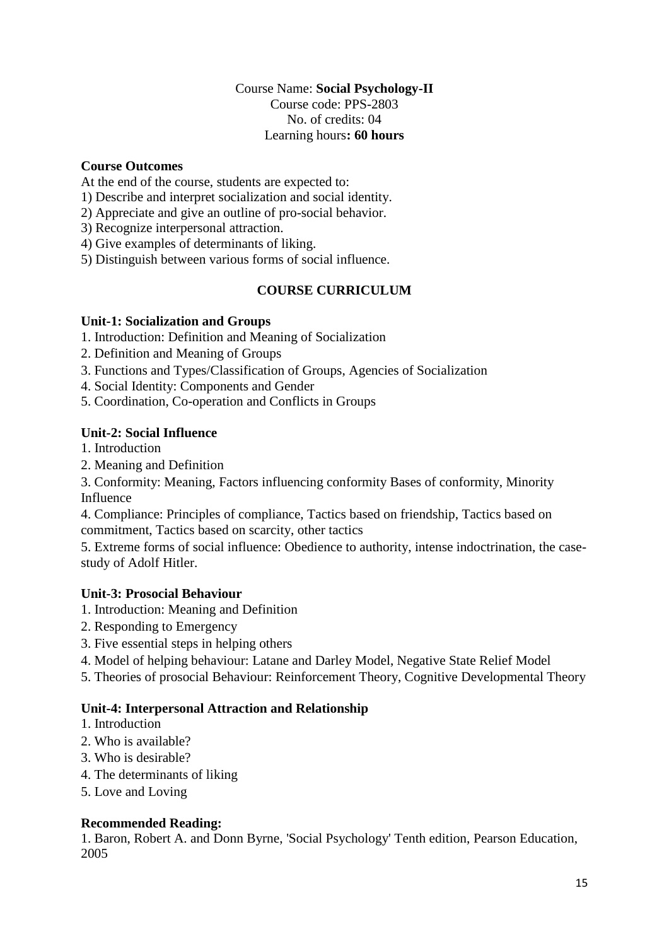### Course Name: **Social Psychology-II** Course code: PPS-2803 No. of credits: 04 Learning hours**: 60 hours**

# **Course Outcomes**

At the end of the course, students are expected to:

1) Describe and interpret socialization and social identity.

- 2) Appreciate and give an outline of pro-social behavior.
- 3) Recognize interpersonal attraction.
- 4) Give examples of determinants of liking.
- 5) Distinguish between various forms of social influence.

# **COURSE CURRICULUM**

### **Unit-1: Socialization and Groups**

- 1. Introduction: Definition and Meaning of Socialization
- 2. Definition and Meaning of Groups
- 3. Functions and Types/Classification of Groups, Agencies of Socialization
- 4. Social Identity: Components and Gender
- 5. Coordination, Co-operation and Conflicts in Groups

### **Unit-2: Social Influence**

- 1. Introduction
- 2. Meaning and Definition

3. Conformity: Meaning, Factors influencing conformity Bases of conformity, Minority Influence

4. Compliance: Principles of compliance, Tactics based on friendship, Tactics based on commitment, Tactics based on scarcity, other tactics

5. Extreme forms of social influence: Obedience to authority, intense indoctrination, the casestudy of Adolf Hitler.

### **Unit-3: Prosocial Behaviour**

- 1. Introduction: Meaning and Definition
- 2. Responding to Emergency
- 3. Five essential steps in helping others
- 4. Model of helping behaviour: Latane and Darley Model, Negative State Relief Model
- 5. Theories of prosocial Behaviour: Reinforcement Theory, Cognitive Developmental Theory

# **Unit-4: Interpersonal Attraction and Relationship**

- 1. Introduction
- 2. Who is available?
- 3. Who is desirable?
- 4. The determinants of liking
- 5. Love and Loving

# **Recommended Reading:**

1. Baron, Robert A. and Donn Byrne, 'Social Psychology' Tenth edition, Pearson Education, 2005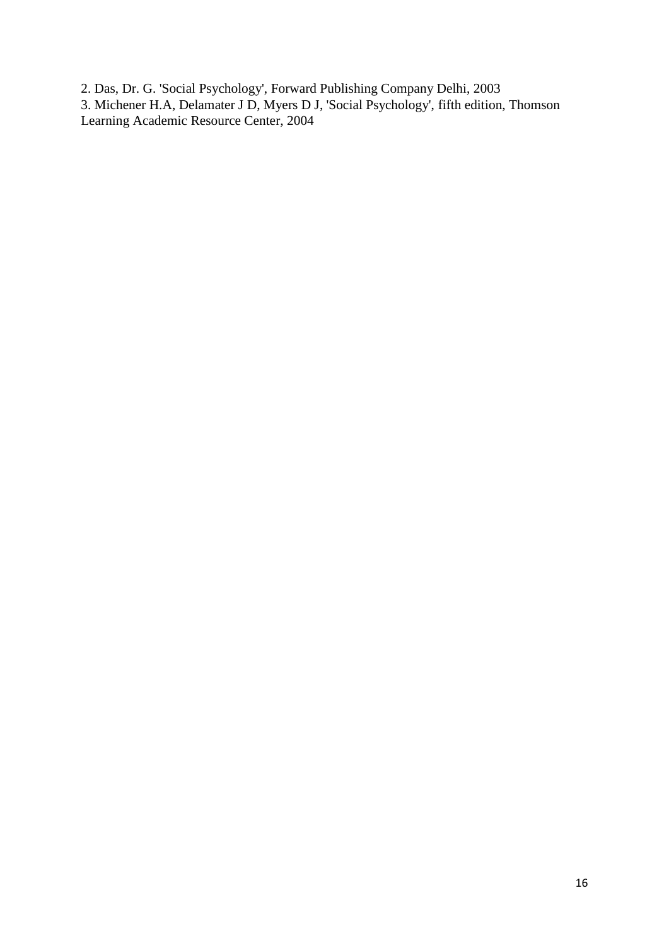2. Das, Dr. G. 'Social Psychology', Forward Publishing Company Delhi, 2003 3. Michener H.A, Delamater J D, Myers D J, 'Social Psychology', fifth edition, Thomson Learning Academic Resource Center, 2004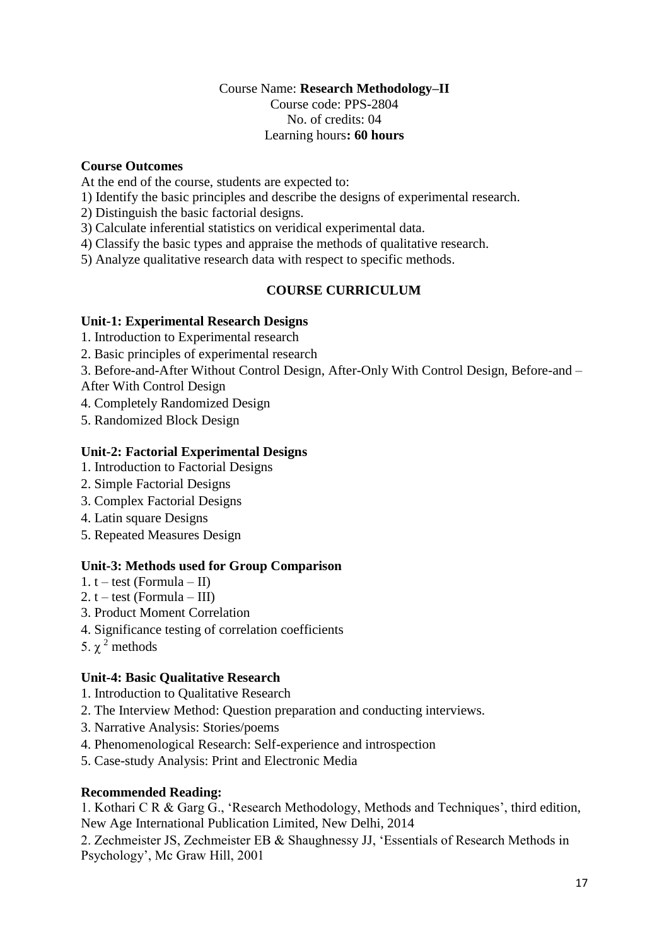# Course Name: **Research Methodology–II** Course code: PPS-2804 No. of credits: 04 Learning hours**: 60 hours**

# **Course Outcomes**

At the end of the course, students are expected to:

- 1) Identify the basic principles and describe the designs of experimental research.
- 2) Distinguish the basic factorial designs.
- 3) Calculate inferential statistics on veridical experimental data.
- 4) Classify the basic types and appraise the methods of qualitative research.
- 5) Analyze qualitative research data with respect to specific methods.

# **COURSE CURRICULUM**

# **Unit-1: Experimental Research Designs**

- 1. Introduction to Experimental research
- 2. Basic principles of experimental research

3. Before-and-After Without Control Design, After-Only With Control Design, Before-and –

After With Control Design

- 4. Completely Randomized Design
- 5. Randomized Block Design

# **Unit-2: Factorial Experimental Designs**

- 1. Introduction to Factorial Designs
- 2. Simple Factorial Designs
- 3. Complex Factorial Designs
- 4. Latin square Designs
- 5. Repeated Measures Design

# **Unit-3: Methods used for Group Comparison**

- 1.  $t test$  (Formula II)
- 2.  $t test$  (Formula III)
- 3. Product Moment Correlation
- 4. Significance testing of correlation coefficients
- 5.  $\gamma^2$  methods

# **Unit-4: Basic Qualitative Research**

- 1. Introduction to Qualitative Research
- 2. The Interview Method: Question preparation and conducting interviews.
- 3. Narrative Analysis: Stories/poems
- 4. Phenomenological Research: Self-experience and introspection
- 5. Case-study Analysis: Print and Electronic Media

### **Recommended Reading:**

1. Kothari C R & Garg G., 'Research Methodology, Methods and Techniques', third edition, New Age International Publication Limited, New Delhi, 2014

2. Zechmeister JS, Zechmeister EB & Shaughnessy JJ, 'Essentials of Research Methods in Psychology', Mc Graw Hill, 2001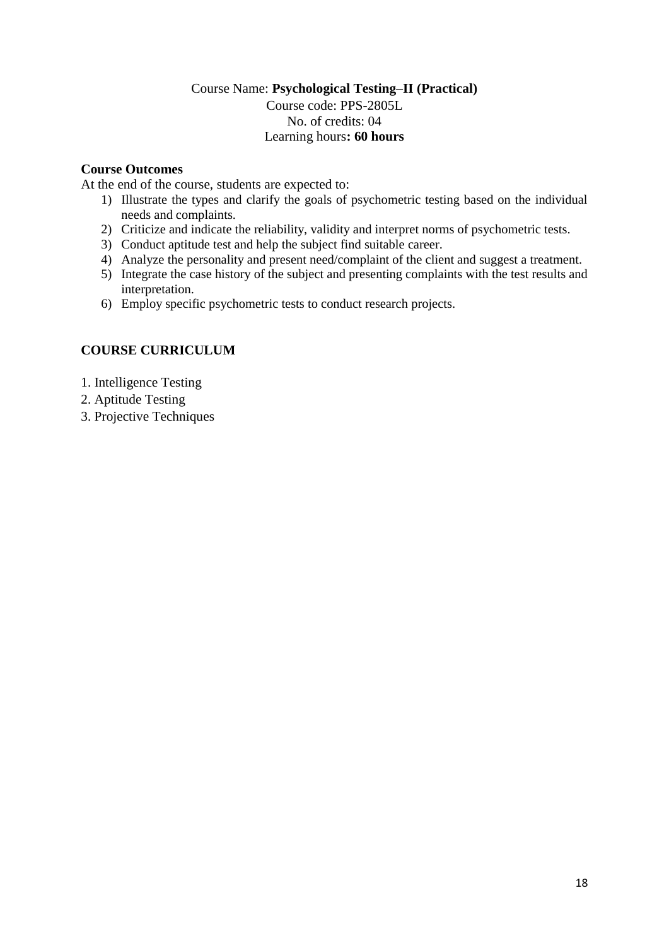# Course Name: **Psychological Testing–II (Practical)** Course code: PPS-2805L No. of credits: 04 Learning hours**: 60 hours**

# **Course Outcomes**

At the end of the course, students are expected to:

- 1) Illustrate the types and clarify the goals of psychometric testing based on the individual needs and complaints.
- 2) Criticize and indicate the reliability, validity and interpret norms of psychometric tests.
- 3) Conduct aptitude test and help the subject find suitable career.
- 4) Analyze the personality and present need/complaint of the client and suggest a treatment.
- 5) Integrate the case history of the subject and presenting complaints with the test results and interpretation.
- 6) Employ specific psychometric tests to conduct research projects.

# **COURSE CURRICULUM**

- 1. Intelligence Testing
- 2. Aptitude Testing
- 3. Projective Techniques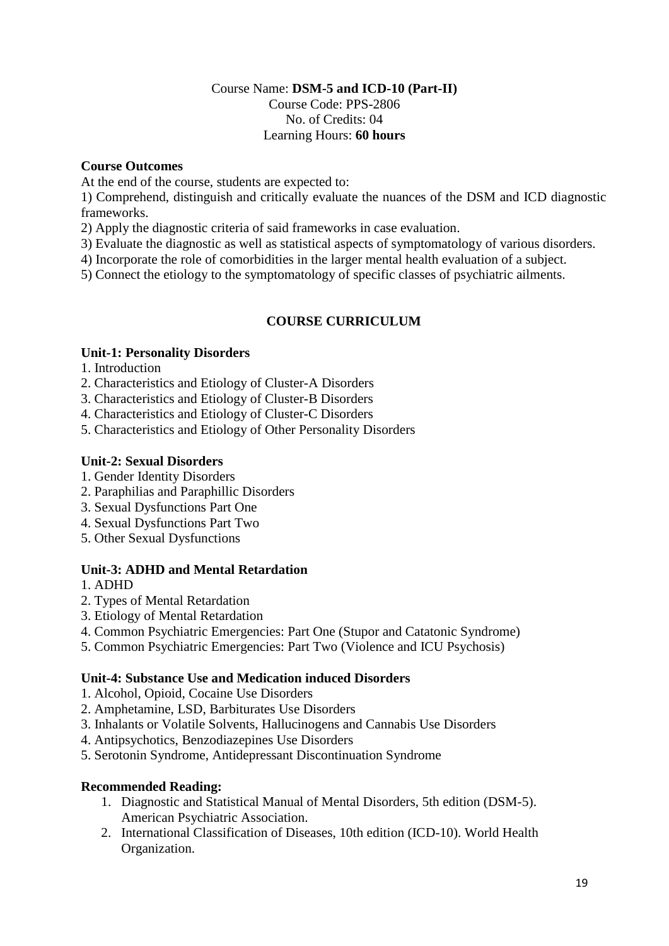# Course Name: **DSM-5 and ICD-10 (Part-II)** Course Code: PPS-2806 No. of Credits: 04 Learning Hours: **60 hours**

# **Course Outcomes**

At the end of the course, students are expected to:

1) Comprehend, distinguish and critically evaluate the nuances of the DSM and ICD diagnostic frameworks.

- 2) Apply the diagnostic criteria of said frameworks in case evaluation.
- 3) Evaluate the diagnostic as well as statistical aspects of symptomatology of various disorders.

4) Incorporate the role of comorbidities in the larger mental health evaluation of a subject.

5) Connect the etiology to the symptomatology of specific classes of psychiatric ailments.

# **COURSE CURRICULUM**

# **Unit-1: Personality Disorders**

- 1. Introduction
- 2. Characteristics and Etiology of Cluster-A Disorders
- 3. Characteristics and Etiology of Cluster-B Disorders
- 4. Characteristics and Etiology of Cluster-C Disorders
- 5. Characteristics and Etiology of Other Personality Disorders

### **Unit-2: Sexual Disorders**

- 1. Gender Identity Disorders
- 2. Paraphilias and Paraphillic Disorders
- 3. Sexual Dysfunctions Part One
- 4. Sexual Dysfunctions Part Two
- 5. Other Sexual Dysfunctions

# **Unit-3: ADHD and Mental Retardation**

- 1. ADHD
- 2. Types of Mental Retardation
- 3. Etiology of Mental Retardation
- 4. Common Psychiatric Emergencies: Part One (Stupor and Catatonic Syndrome)
- 5. Common Psychiatric Emergencies: Part Two (Violence and ICU Psychosis)

# **Unit-4: Substance Use and Medication induced Disorders**

- 1. Alcohol, Opioid, Cocaine Use Disorders
- 2. Amphetamine, LSD, Barbiturates Use Disorders
- 3. Inhalants or Volatile Solvents, Hallucinogens and Cannabis Use Disorders
- 4. Antipsychotics, Benzodiazepines Use Disorders
- 5. Serotonin Syndrome, Antidepressant Discontinuation Syndrome

# **Recommended Reading:**

- 1. Diagnostic and Statistical Manual of Mental Disorders, 5th edition (DSM-5). American Psychiatric Association.
- 2. International Classification of Diseases, 10th edition (ICD-10). World Health Organization.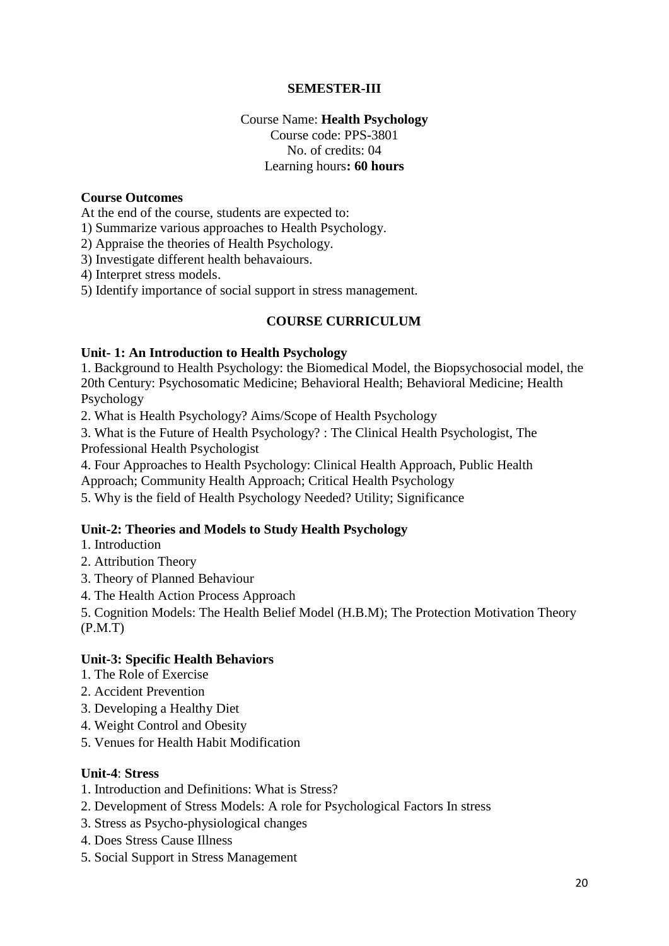# **SEMESTER-III**

# Course Name: **Health Psychology** Course code: PPS-3801 No. of credits: 04 Learning hours**: 60 hours**

### **Course Outcomes**

At the end of the course, students are expected to:

1) Summarize various approaches to Health Psychology.

2) Appraise the theories of Health Psychology.

3) Investigate different health behavaiours.

4) Interpret stress models.

5) Identify importance of social support in stress management.

### **COURSE CURRICULUM**

### **Unit- 1: An Introduction to Health Psychology**

1. Background to Health Psychology: the Biomedical Model, the Biopsychosocial model, the 20th Century: Psychosomatic Medicine; Behavioral Health; Behavioral Medicine; Health Psychology

2. What is Health Psychology? Aims/Scope of Health Psychology

3. What is the Future of Health Psychology? : The Clinical Health Psychologist, The Professional Health Psychologist

4. Four Approaches to Health Psychology: Clinical Health Approach, Public Health

Approach; Community Health Approach; Critical Health Psychology

5. Why is the field of Health Psychology Needed? Utility; Significance

### **Unit-2: Theories and Models to Study Health Psychology**

1. Introduction

- 2. Attribution Theory
- 3. Theory of Planned Behaviour
- 4. The Health Action Process Approach

5. Cognition Models: The Health Belief Model (H.B.M); The Protection Motivation Theory (P.M.T)

# **Unit-3: Specific Health Behaviors**

- 1. The Role of Exercise
- 2. Accident Prevention
- 3. Developing a Healthy Diet
- 4. Weight Control and Obesity
- 5. Venues for Health Habit Modification

#### **Unit-4**: **Stress**

- 1. Introduction and Definitions: What is Stress?
- 2. Development of Stress Models: A role for Psychological Factors In stress
- 3. Stress as Psycho-physiological changes
- 4. Does Stress Cause Illness
- 5. Social Support in Stress Management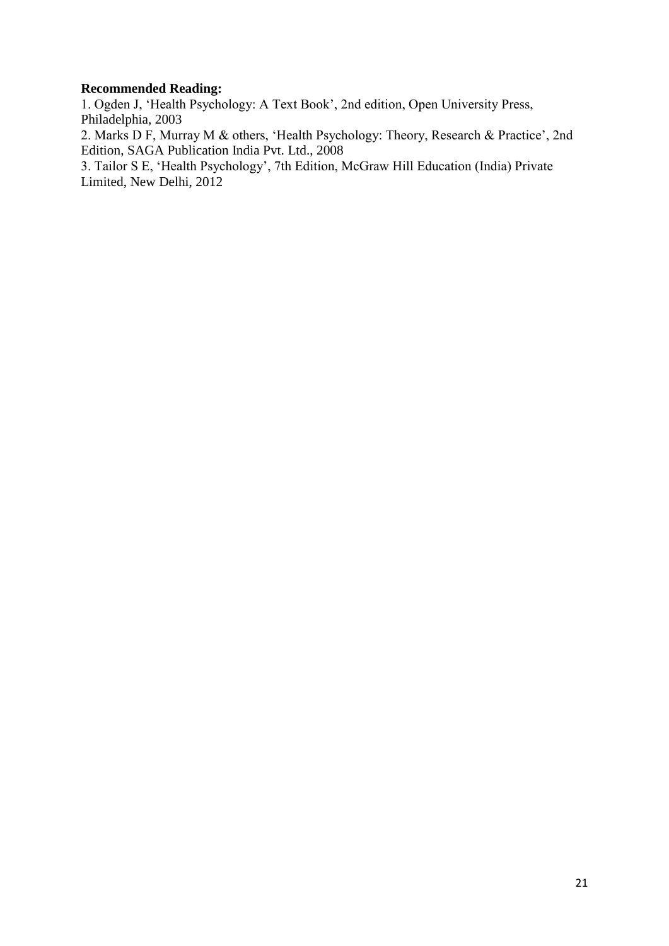### **Recommended Reading:**

1. Ogden J, 'Health Psychology: A Text Book', 2nd edition, Open University Press, Philadelphia, 2003

2. Marks D F, Murray M & others, 'Health Psychology: Theory, Research & Practice', 2nd Edition, SAGA Publication India Pvt. Ltd., 2008

3. Tailor S E, 'Health Psychology', 7th Edition, McGraw Hill Education (India) Private Limited, New Delhi, 2012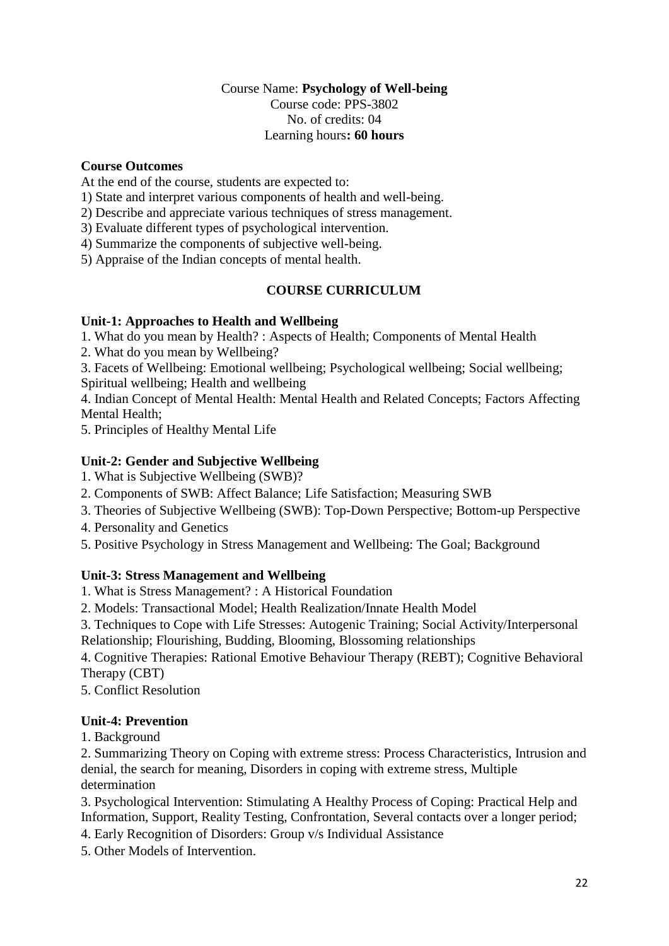# Course Name: **Psychology of Well-being** Course code: PPS-3802 No. of credits: 04 Learning hours**: 60 hours**

# **Course Outcomes**

At the end of the course, students are expected to:

- 1) State and interpret various components of health and well-being.
- 2) Describe and appreciate various techniques of stress management.
- 3) Evaluate different types of psychological intervention.
- 4) Summarize the components of subjective well-being.
- 5) Appraise of the Indian concepts of mental health.

# **COURSE CURRICULUM**

### **Unit-1: Approaches to Health and Wellbeing**

1. What do you mean by Health? : Aspects of Health; Components of Mental Health

2. What do you mean by Wellbeing?

3. Facets of Wellbeing: Emotional wellbeing; Psychological wellbeing; Social wellbeing; Spiritual wellbeing; Health and wellbeing

4. Indian Concept of Mental Health: Mental Health and Related Concepts; Factors Affecting Mental Health;

5. Principles of Healthy Mental Life

# **Unit-2: Gender and Subjective Wellbeing**

- 1. What is Subjective Wellbeing (SWB)?
- 2. Components of SWB: Affect Balance; Life Satisfaction; Measuring SWB
- 3. Theories of Subjective Wellbeing (SWB): Top-Down Perspective; Bottom-up Perspective
- 4. Personality and Genetics
- 5. Positive Psychology in Stress Management and Wellbeing: The Goal; Background

# **Unit-3: Stress Management and Wellbeing**

- 1. What is Stress Management? : A Historical Foundation
- 2. Models: Transactional Model; Health Realization/Innate Health Model
- 3. Techniques to Cope with Life Stresses: Autogenic Training; Social Activity/Interpersonal

Relationship; Flourishing, Budding, Blooming, Blossoming relationships

4. Cognitive Therapies: Rational Emotive Behaviour Therapy (REBT); Cognitive Behavioral Therapy (CBT)

5. Conflict Resolution

# **Unit-4: Prevention**

1. Background

2. Summarizing Theory on Coping with extreme stress: Process Characteristics, Intrusion and denial, the search for meaning, Disorders in coping with extreme stress, Multiple determination

3. Psychological Intervention: Stimulating A Healthy Process of Coping: Practical Help and Information, Support, Reality Testing, Confrontation, Several contacts over a longer period;

- 4. Early Recognition of Disorders: Group v/s Individual Assistance
- 5. Other Models of Intervention.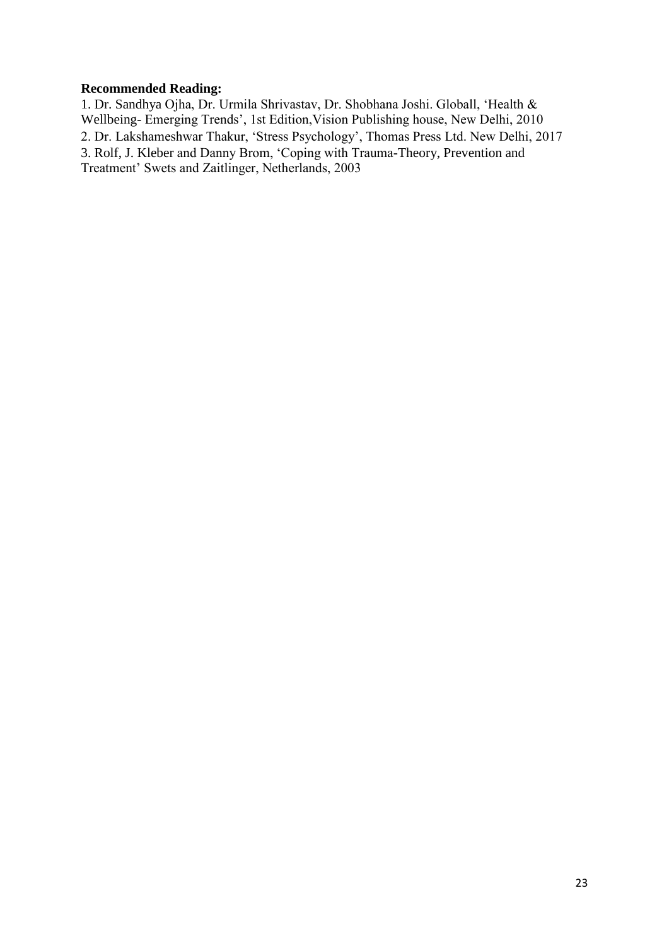# **Recommended Reading:**

1. Dr. Sandhya Ojha, Dr. Urmila Shrivastav, Dr. Shobhana Joshi. Globall, 'Health & Wellbeing- Emerging Trends', 1st Edition,Vision Publishing house, New Delhi, 2010 2. Dr. Lakshameshwar Thakur, 'Stress Psychology', Thomas Press Ltd. New Delhi, 2017 3. Rolf, J. Kleber and Danny Brom, 'Coping with Trauma-Theory, Prevention and Treatment' Swets and Zaitlinger, Netherlands, 2003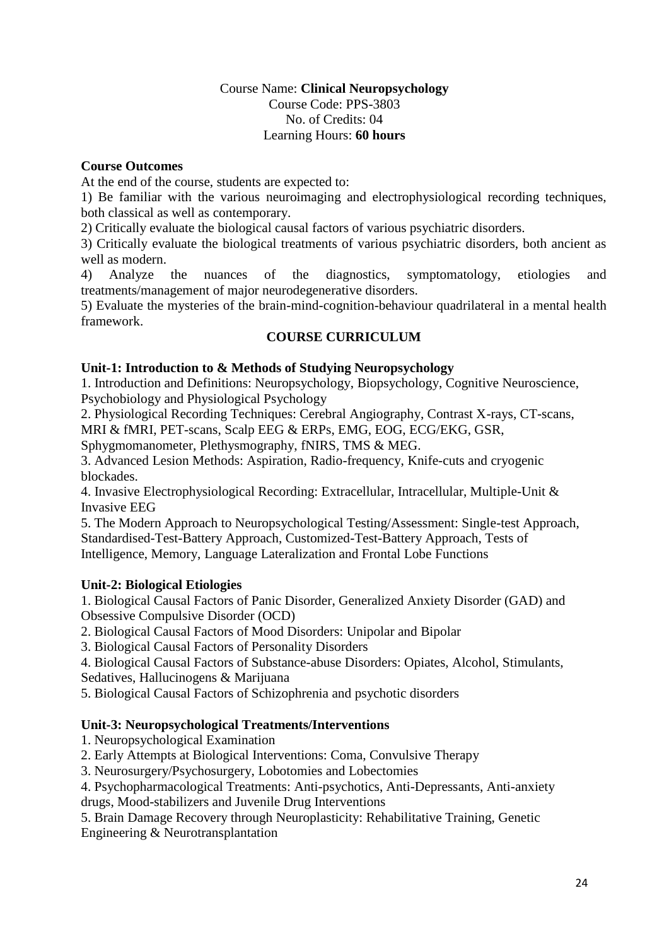# Course Name: **Clinical Neuropsychology** Course Code: PPS-3803 No. of Credits: 04 Learning Hours: **60 hours**

# **Course Outcomes**

At the end of the course, students are expected to:

1) Be familiar with the various neuroimaging and electrophysiological recording techniques, both classical as well as contemporary.

2) Critically evaluate the biological causal factors of various psychiatric disorders.

3) Critically evaluate the biological treatments of various psychiatric disorders, both ancient as well as modern.

4) Analyze the nuances of the diagnostics, symptomatology, etiologies and treatments/management of major neurodegenerative disorders.

5) Evaluate the mysteries of the brain-mind-cognition-behaviour quadrilateral in a mental health framework.

# **COURSE CURRICULUM**

# **Unit-1: Introduction to & Methods of Studying Neuropsychology**

1. Introduction and Definitions: Neuropsychology, Biopsychology, Cognitive Neuroscience, Psychobiology and Physiological Psychology

2. Physiological Recording Techniques: Cerebral Angiography, Contrast X-rays, CT-scans, MRI & fMRI, PET-scans, Scalp EEG & ERPs, EMG, EOG, ECG/EKG, GSR,

Sphygmomanometer, Plethysmography, fNIRS, TMS & MEG.

3. Advanced Lesion Methods: Aspiration, Radio-frequency, Knife-cuts and cryogenic blockades.

4. Invasive Electrophysiological Recording: Extracellular, Intracellular, Multiple-Unit & Invasive EEG

5. The Modern Approach to Neuropsychological Testing/Assessment: Single-test Approach, Standardised-Test-Battery Approach, Customized-Test-Battery Approach, Tests of Intelligence, Memory, Language Lateralization and Frontal Lobe Functions

# **Unit-2: Biological Etiologies**

1. Biological Causal Factors of Panic Disorder, Generalized Anxiety Disorder (GAD) and Obsessive Compulsive Disorder (OCD)

2. Biological Causal Factors of Mood Disorders: Unipolar and Bipolar

3. Biological Causal Factors of Personality Disorders

4. Biological Causal Factors of Substance-abuse Disorders: Opiates, Alcohol, Stimulants, Sedatives, Hallucinogens & Marijuana

5. Biological Causal Factors of Schizophrenia and psychotic disorders

# **Unit-3: Neuropsychological Treatments/Interventions**

1. Neuropsychological Examination

2. Early Attempts at Biological Interventions: Coma, Convulsive Therapy

3. Neurosurgery/Psychosurgery, Lobotomies and Lobectomies

4. Psychopharmacological Treatments: Anti-psychotics, Anti-Depressants, Anti-anxiety drugs, Mood-stabilizers and Juvenile Drug Interventions

5. Brain Damage Recovery through Neuroplasticity: Rehabilitative Training, Genetic Engineering & Neurotransplantation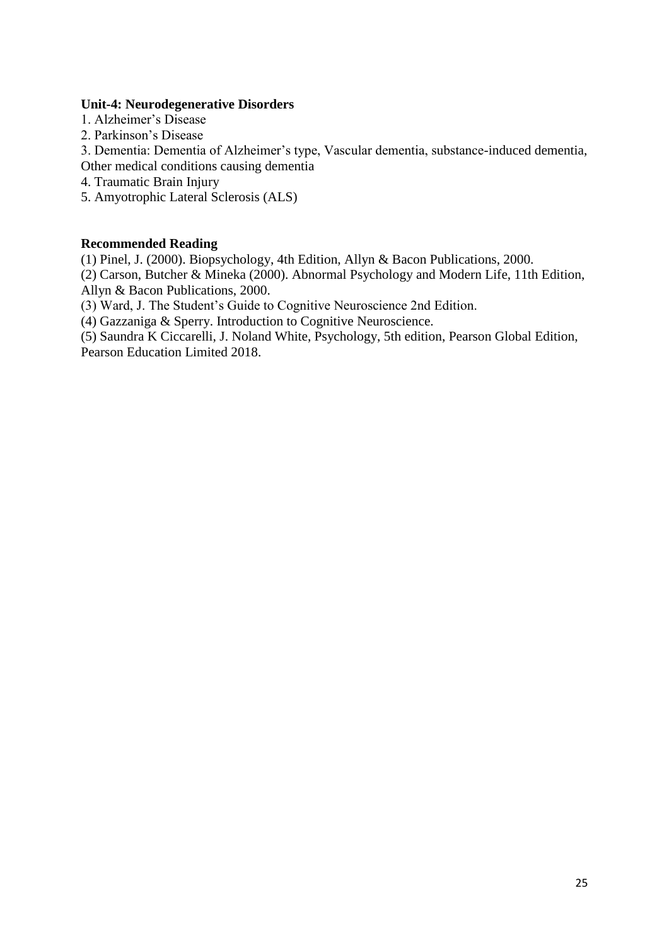### **Unit-4: Neurodegenerative Disorders**

- 1. Alzheimer's Disease
- 2. Parkinson's Disease

3. Dementia: Dementia of Alzheimer's type, Vascular dementia, substance-induced dementia, Other medical conditions causing dementia

- 4. Traumatic Brain Injury
- 5. Amyotrophic Lateral Sclerosis (ALS)

### **Recommended Reading**

(1) Pinel, J. (2000). Biopsychology, 4th Edition, Allyn & Bacon Publications, 2000.

(2) Carson, Butcher & Mineka (2000). Abnormal Psychology and Modern Life, 11th Edition, Allyn & Bacon Publications, 2000.

(3) Ward, J. The Student's Guide to Cognitive Neuroscience 2nd Edition.

(4) Gazzaniga & Sperry. Introduction to Cognitive Neuroscience.

(5) Saundra K Ciccarelli, J. Noland White, Psychology, 5th edition, Pearson Global Edition, Pearson Education Limited 2018.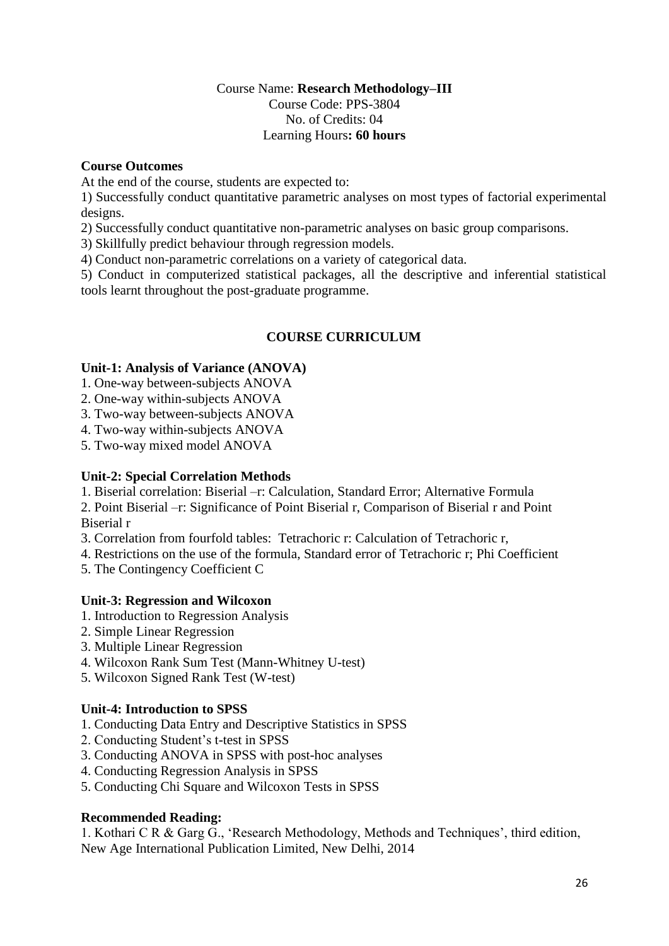# Course Name: **Research Methodology–III** Course Code: PPS-3804 No. of Credits: 04 Learning Hours**: 60 hours**

### **Course Outcomes**

At the end of the course, students are expected to:

1) Successfully conduct quantitative parametric analyses on most types of factorial experimental designs.

2) Successfully conduct quantitative non-parametric analyses on basic group comparisons.

3) Skillfully predict behaviour through regression models.

4) Conduct non-parametric correlations on a variety of categorical data.

5) Conduct in computerized statistical packages, all the descriptive and inferential statistical tools learnt throughout the post-graduate programme.

# **COURSE CURRICULUM**

### **Unit-1: Analysis of Variance (ANOVA)**

1. One-way between-subjects ANOVA

- 2. One-way within-subjects ANOVA
- 3. Two-way between-subjects ANOVA
- 4. Two-way within-subjects ANOVA

5. Two-way mixed model ANOVA

### **Unit-2: Special Correlation Methods**

1. Biserial correlation: Biserial –r: Calculation, Standard Error; Alternative Formula

2. Point Biserial –r: Significance of Point Biserial r, Comparison of Biserial r and Point Biserial r

3. Correlation from fourfold tables: Tetrachoric r: Calculation of Tetrachoric r,

4. Restrictions on the use of the formula, Standard error of Tetrachoric r; Phi Coefficient

5. The Contingency Coefficient C

# **Unit-3: Regression and Wilcoxon**

- 1. Introduction to Regression Analysis
- 2. Simple Linear Regression
- 3. Multiple Linear Regression
- 4. Wilcoxon Rank Sum Test (Mann-Whitney U-test)
- 5. Wilcoxon Signed Rank Test (W-test)

### **Unit-4: Introduction to SPSS**

- 1. Conducting Data Entry and Descriptive Statistics in SPSS
- 2. Conducting Student's t-test in SPSS
- 3. Conducting ANOVA in SPSS with post-hoc analyses
- 4. Conducting Regression Analysis in SPSS
- 5. Conducting Chi Square and Wilcoxon Tests in SPSS

# **Recommended Reading:**

1. Kothari C R & Garg G., 'Research Methodology, Methods and Techniques', third edition, New Age International Publication Limited, New Delhi, 2014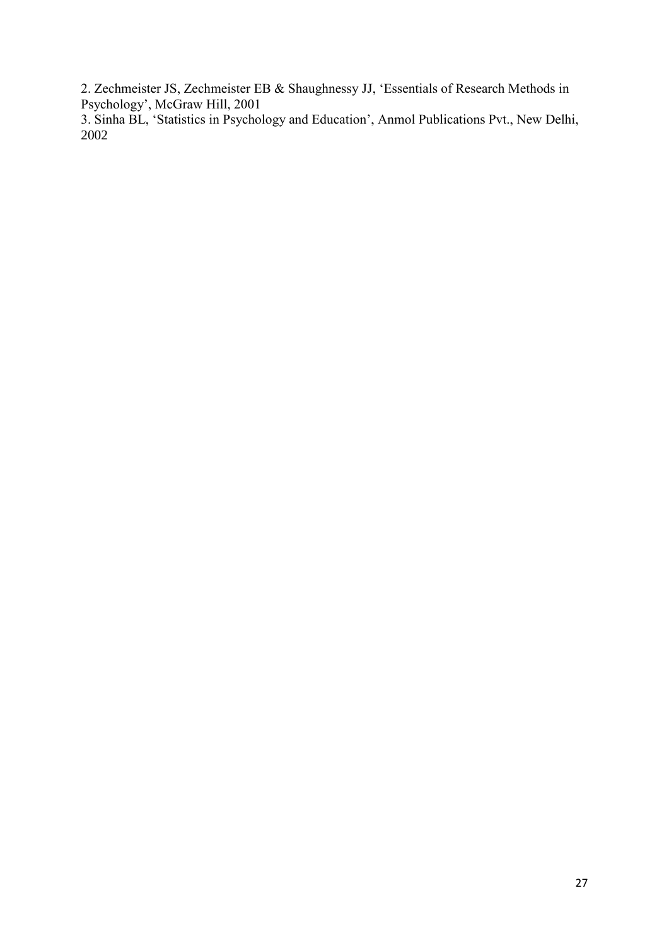2. Zechmeister JS, Zechmeister EB & Shaughnessy JJ, 'Essentials of Research Methods in Psychology', McGraw Hill, 2001

3. Sinha BL, 'Statistics in Psychology and Education', Anmol Publications Pvt., New Delhi, 2002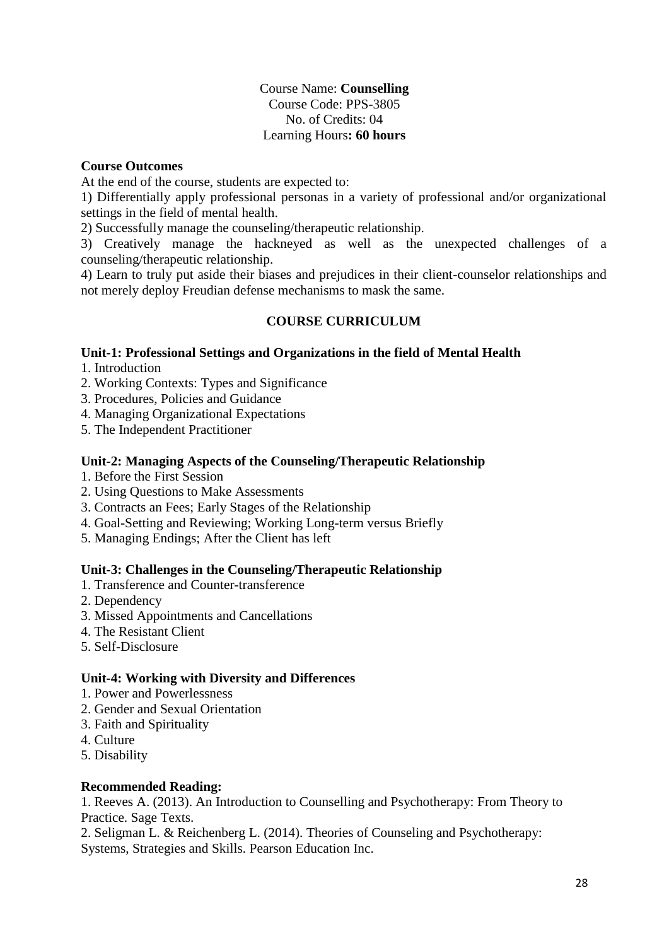# Course Name: **Counselling** Course Code: PPS-3805 No. of Credits: 04 Learning Hours**: 60 hours**

# **Course Outcomes**

At the end of the course, students are expected to:

1) Differentially apply professional personas in a variety of professional and/or organizational settings in the field of mental health.

2) Successfully manage the counseling/therapeutic relationship.

3) Creatively manage the hackneyed as well as the unexpected challenges of a counseling/therapeutic relationship.

4) Learn to truly put aside their biases and prejudices in their client-counselor relationships and not merely deploy Freudian defense mechanisms to mask the same.

# **COURSE CURRICULUM**

# **Unit-1: Professional Settings and Organizations in the field of Mental Health**

1. Introduction

- 2. Working Contexts: Types and Significance
- 3. Procedures, Policies and Guidance
- 4. Managing Organizational Expectations
- 5. The Independent Practitioner

### **Unit-2: Managing Aspects of the Counseling/Therapeutic Relationship**

- 1. Before the First Session
- 2. Using Questions to Make Assessments
- 3. Contracts an Fees; Early Stages of the Relationship
- 4. Goal-Setting and Reviewing; Working Long-term versus Briefly
- 5. Managing Endings; After the Client has left

# **Unit-3: Challenges in the Counseling/Therapeutic Relationship**

- 1. Transference and Counter-transference
- 2. Dependency
- 3. Missed Appointments and Cancellations
- 4. The Resistant Client
- 5. Self-Disclosure

# **Unit-4: Working with Diversity and Differences**

- 1. Power and Powerlessness
- 2. Gender and Sexual Orientation
- 3. Faith and Spirituality
- 4. Culture
- 5. Disability

# **Recommended Reading:**

1. Reeves A. (2013). An Introduction to Counselling and Psychotherapy: From Theory to Practice. Sage Texts.

2. Seligman L. & Reichenberg L. (2014). Theories of Counseling and Psychotherapy: Systems, Strategies and Skills. Pearson Education Inc.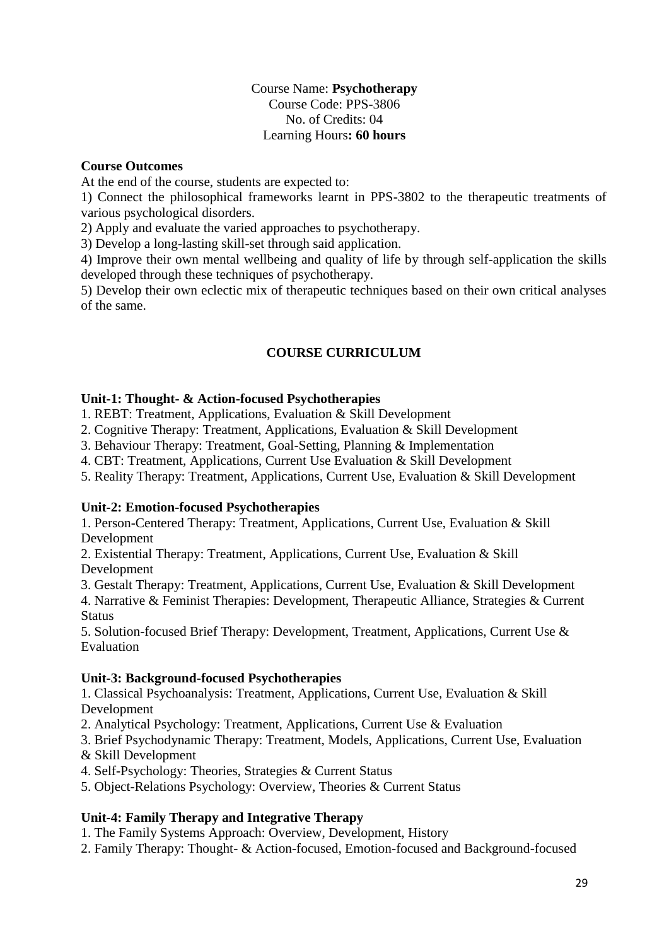# Course Name: **Psychotherapy** Course Code: PPS-3806 No. of Credits: 04 Learning Hours**: 60 hours**

### **Course Outcomes**

At the end of the course, students are expected to:

1) Connect the philosophical frameworks learnt in PPS-3802 to the therapeutic treatments of various psychological disorders.

2) Apply and evaluate the varied approaches to psychotherapy.

3) Develop a long-lasting skill-set through said application.

4) Improve their own mental wellbeing and quality of life by through self-application the skills developed through these techniques of psychotherapy.

5) Develop their own eclectic mix of therapeutic techniques based on their own critical analyses of the same.

# **COURSE CURRICULUM**

# **Unit-1: Thought- & Action-focused Psychotherapies**

1. REBT: Treatment, Applications, Evaluation & Skill Development

2. Cognitive Therapy: Treatment, Applications, Evaluation & Skill Development

3. Behaviour Therapy: Treatment, Goal-Setting, Planning & Implementation

4. CBT: Treatment, Applications, Current Use Evaluation & Skill Development

5. Reality Therapy: Treatment, Applications, Current Use, Evaluation & Skill Development

# **Unit-2: Emotion-focused Psychotherapies**

1. Person-Centered Therapy: Treatment, Applications, Current Use, Evaluation & Skill Development

2. Existential Therapy: Treatment, Applications, Current Use, Evaluation & Skill Development

3. Gestalt Therapy: Treatment, Applications, Current Use, Evaluation & Skill Development

4. Narrative & Feminist Therapies: Development, Therapeutic Alliance, Strategies & Current **Status** 

5. Solution-focused Brief Therapy: Development, Treatment, Applications, Current Use & Evaluation

# **Unit-3: Background-focused Psychotherapies**

1. Classical Psychoanalysis: Treatment, Applications, Current Use, Evaluation & Skill Development

2. Analytical Psychology: Treatment, Applications, Current Use & Evaluation

3. Brief Psychodynamic Therapy: Treatment, Models, Applications, Current Use, Evaluation

- & Skill Development
- 4. Self-Psychology: Theories, Strategies & Current Status
- 5. Object-Relations Psychology: Overview, Theories & Current Status

# **Unit-4: Family Therapy and Integrative Therapy**

- 1. The Family Systems Approach: Overview, Development, History
- 2. Family Therapy: Thought- & Action-focused, Emotion-focused and Background-focused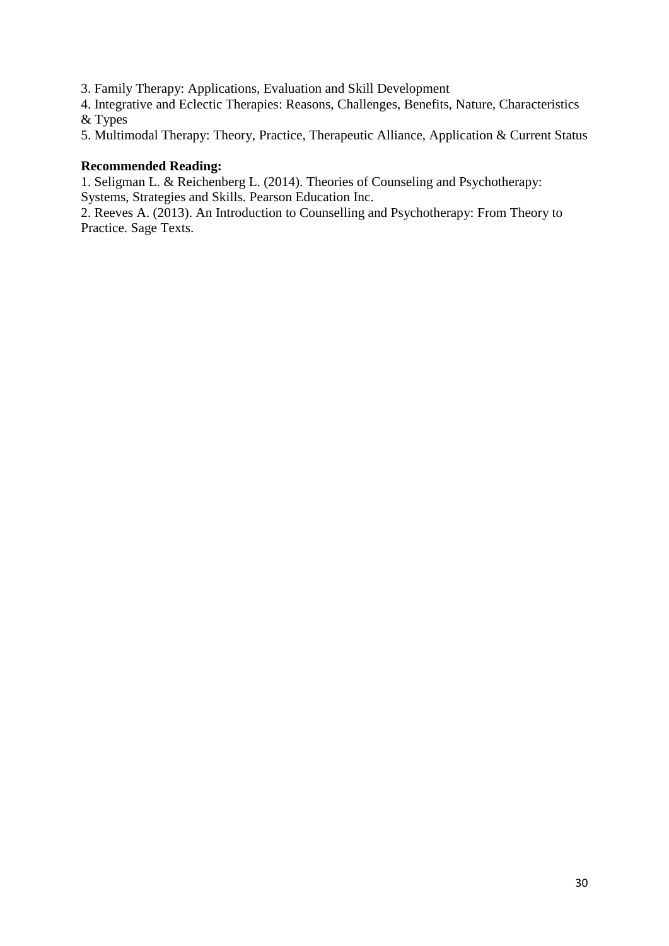3. Family Therapy: Applications, Evaluation and Skill Development

4. Integrative and Eclectic Therapies: Reasons, Challenges, Benefits, Nature, Characteristics & Types

5. Multimodal Therapy: Theory, Practice, Therapeutic Alliance, Application & Current Status

### **Recommended Reading:**

1. Seligman L. & Reichenberg L. (2014). Theories of Counseling and Psychotherapy: Systems, Strategies and Skills. Pearson Education Inc.

2. Reeves A. (2013). An Introduction to Counselling and Psychotherapy: From Theory to Practice. Sage Texts.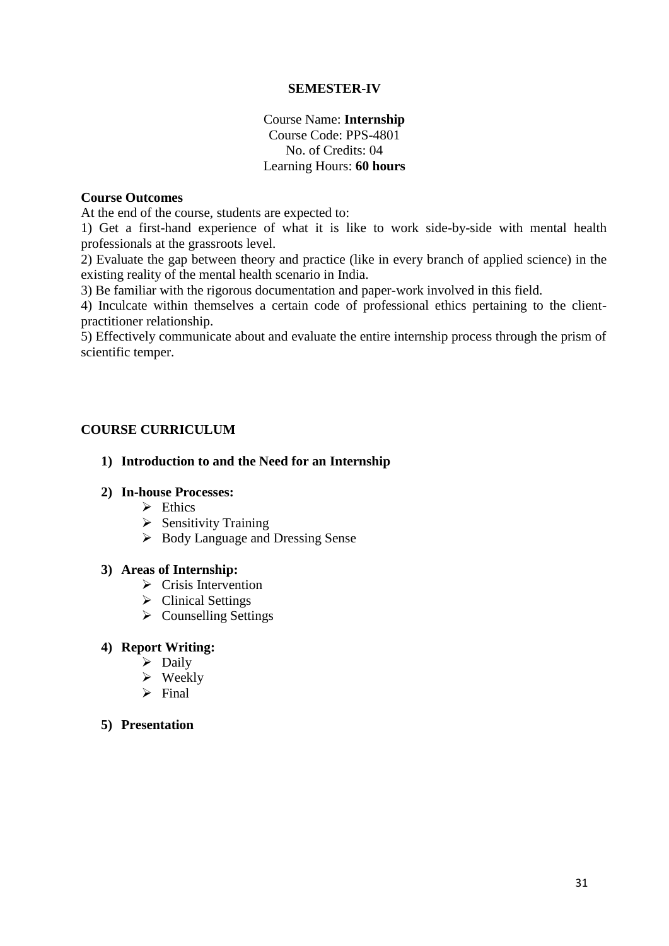### **SEMESTER-IV**

# Course Name: **Internship** Course Code: PPS-4801 No. of Credits: 04 Learning Hours: **60 hours**

### **Course Outcomes**

At the end of the course, students are expected to:

1) Get a first-hand experience of what it is like to work side-by-side with mental health professionals at the grassroots level.

2) Evaluate the gap between theory and practice (like in every branch of applied science) in the existing reality of the mental health scenario in India.

3) Be familiar with the rigorous documentation and paper-work involved in this field.

4) Inculcate within themselves a certain code of professional ethics pertaining to the clientpractitioner relationship.

5) Effectively communicate about and evaluate the entire internship process through the prism of scientific temper.

# **COURSE CURRICULUM**

### **1) Introduction to and the Need for an Internship**

#### **2) In-house Processes:**

- $\triangleright$  Ethics
- $\triangleright$  Sensitivity Training
- Body Language and Dressing Sense

#### **3) Areas of Internship:**

- $\triangleright$  Crisis Intervention
- $\triangleright$  Clinical Settings
- $\triangleright$  Counselling Settings

### **4) Report Writing:**

- $\triangleright$  Daily
- $\triangleright$  Weekly
- $\triangleright$  Final
- **5) Presentation**